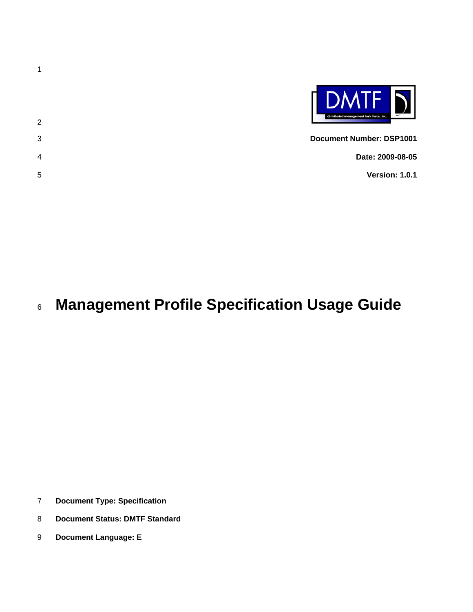

| 3              | <b>Document Number: DSP1001</b> |
|----------------|---------------------------------|
| $\overline{4}$ | Date: 2009-08-05                |
| 5              | <b>Version: 1.0.1</b>           |

# **Management Profile Specification Usage Guide**

**Document Type: Specification** 

- **Document Status: DMTF Standard**
- **Document Language: E**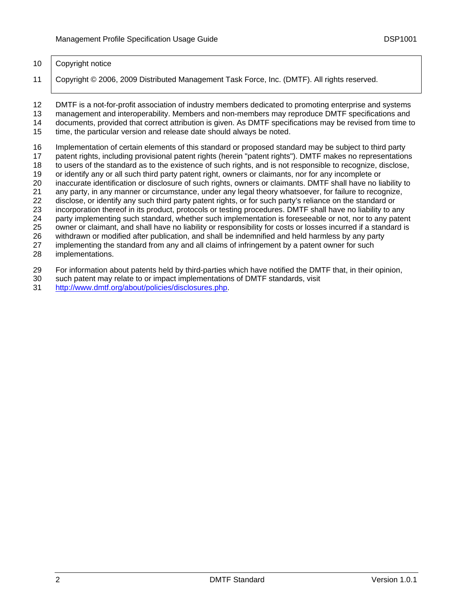#### 10 Copyright notice

11 Copyright © 2006, 2009 Distributed Management Task Force, Inc. (DMTF). All rights reserved.

12 DMTF is a not-for-profit association of industry members dedicated to promoting enterprise and systems 13 management and interoperability. Members and non-members may reproduce DMTF specifications and 14 documents, provided that correct attribution is given. As DMTF specifications may be revised from time to

15 time, the particular version and release date should always be noted.

16 Implementation of certain elements of this standard or proposed standard may be subject to third party

17 patent rights, including provisional patent rights (herein "patent rights"). DMTF makes no representations

18 to users of the standard as to the existence of such rights, and is not responsible to recognize, disclose,

19 or identify any or all such third party patent right, owners or claimants, nor for any incomplete or 120<br>20 inaccurate identification or disclosure of such rights, owners or claimants. DMTF shall have no li inaccurate identification or disclosure of such rights, owners or claimants. DMTF shall have no liability to

21 any party, in any manner or circumstance, under any legal theory whatsoever, for failure to recognize,<br>22 disclose, or identify any such third party patent rights, or for such party's reliance on the standard or disclose, or identify any such third party patent rights, or for such party's reliance on the standard or

23 incorporation thereof in its product, protocols or testing procedures. DMTF shall have no liability to any

24 party implementing such standard, whether such implementation is foreseeable or not, nor to any patent

25 owner or claimant, and shall have no liability or responsibility for costs or losses incurred if a standard is

26 withdrawn or modified after publication, and shall be indemnified and held harmless by any party

27 implementing the standard from any and all claims of infringement by a patent owner for such

28 implementations.

29 For information about patents held by third-parties which have notified the DMTF that, in their opinion,

30 such patent may relate to or impact implementations of DMTF standards, visit

31 <http://www.dmtf.org/about/policies/disclosures.php>.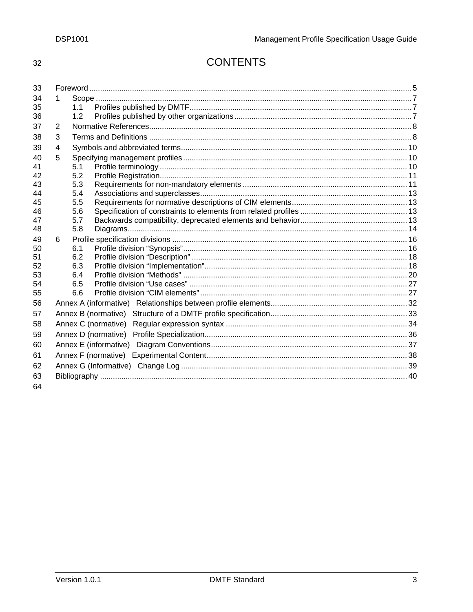32

# **CONTENTS**

| 33       |   |            |  |
|----------|---|------------|--|
| 34       | 1 |            |  |
| 35       |   | 11         |  |
| 36       |   | 1.2        |  |
| 37       | 2 |            |  |
| 38       | 3 |            |  |
| 39       | 4 |            |  |
| 40       | 5 |            |  |
| 41       |   | 5.1        |  |
| 42       |   | 5.2        |  |
| 43       |   | 5.3        |  |
| 44       |   | 5.4        |  |
| 45       |   | 5.5        |  |
| 46       |   | 5.6        |  |
| 47       |   | 5.7        |  |
| 48       |   | 5.8        |  |
| 49       | 6 |            |  |
| 50       |   | 6.1        |  |
| 51       |   | 6.2        |  |
| 52       |   | 6.3        |  |
| 53       |   | 6.4        |  |
| 54<br>55 |   | 6.5<br>6.6 |  |
|          |   |            |  |
| 56       |   |            |  |
| 57       |   |            |  |
| 58       |   |            |  |
| 59       |   |            |  |
| 60       |   |            |  |
| 61       |   |            |  |
| 62       |   |            |  |
| 63       |   |            |  |
| 64       |   |            |  |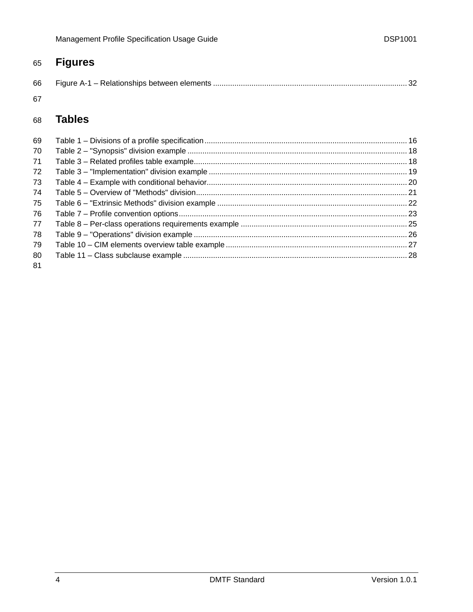# 65 **Figures**

| 66 |  |
|----|--|
|    |  |

# 67

# 68 **Tables**

| 69 |  |
|----|--|
| 70 |  |
| 71 |  |
| 72 |  |
| 73 |  |
| 74 |  |
| 75 |  |
| 76 |  |
| 77 |  |
| 78 |  |
| 79 |  |
| 80 |  |
| 81 |  |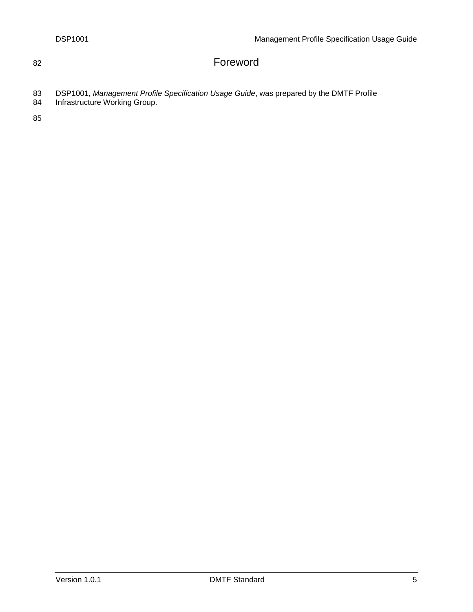# <span id="page-4-0"></span>82 **Foreword**

- 83 DSP1001, *Management Profile Specification Usage Guide*, was prepared by the DMTF Profile
- 84 Infrastructure Working Group.

85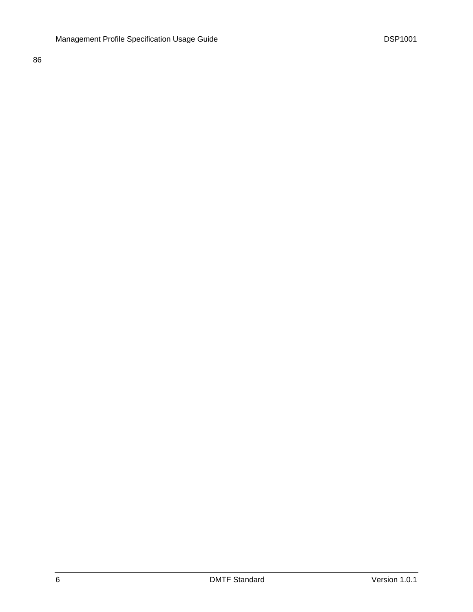86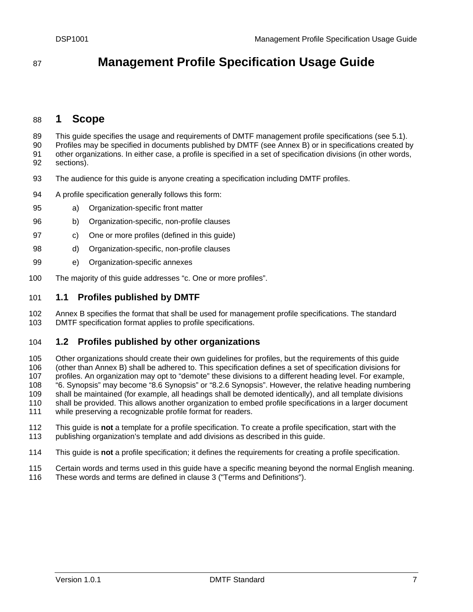# <sup>87</sup>**Management Profile Specification Usage Guide**

# <span id="page-6-0"></span>88 **1 Scope**

89 This guide specifies the usage and requirements of DMTF management profile specifications (see [5.1\)](#page-9-2).

90 Profiles may be specified in documents published by DMTF (see [Annex B\)](#page-32-0) or in specifications created by 91 other organizations. In either case, a profile is specified in a set of specification divisions (in other words,

- 92 sections).
- 93 The audience for this guide is anyone creating a specification including DMTF profiles.
- 94 A profile specification generally follows this form:
- 95 a) Organization-specific front matter
- 96 b) Organization-specific, non-profile clauses
- 97 c) One or more profiles (defined in this guide)
- 98 d) Organization-specific, non-profile clauses
- 99 e) Organization-specific annexes
- 100 The majority of this guide addresses "c. One or more profiles".

#### <span id="page-6-1"></span>101 **1.1 Profiles published by DMTF**

102 [Annex B](#page-32-0) specifies the format that shall be used for management profile specifications. The standard 103 DMTF specification format applies to profile specifications.

#### <span id="page-6-2"></span>104 **1.2 Profiles published by other organizations**

105 Other organizations should create their own guidelines for profiles, but the requirements of this guide 106 (other than [Annex B\)](#page-32-0) shall be adhered to. This specification defines a set of specification divisions for 107 profiles. An organization may opt to "demote" these divisions to a different heading level. For example, 108 "6. Synopsis" may become "8.6 Synopsis" or "8.2.6 Synopsis". However, the relative heading numbering 109 shall be maintained (for example, all headings shall be demoted identically), and all template divisions 110 shall be provided. This allows another organization to embed profile specifications in a larger document 111 while preserving a recognizable profile format for readers.

- 112 This guide is **not** a template for a profile specification. To create a profile specification, start with the 113 publishing organization's template and add divisions as described in this guide.
- 114 This guide is **not** a profile specification; it defines the requirements for creating a profile specification.
- 115 Certain words and terms used in this guide have a specific meaning beyond the normal English meaning.
- 116 These words and terms are defined in clause [3](#page-7-1) ("[Terms and Definitions"](#page-7-1)).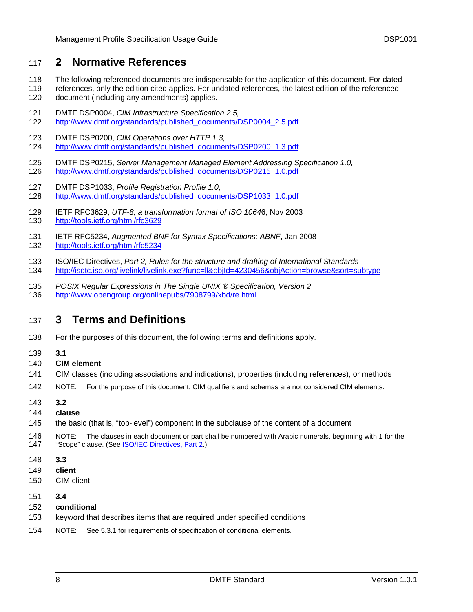# <span id="page-7-0"></span>117 **2 Normative References**

- 118 The following referenced documents are indispensable for the application of this document. For dated
- 119 references, only the edition cited applies. For undated references, the latest edition of the referenced
- 120 document (including any amendments) applies.
- <span id="page-7-5"></span>121 DMTF DSP0004, *CIM Infrastructure Specification 2.5,*
- 122 [http://www.dmtf.org/standards/published\\_documents/DSP0004\\_2.5.pdf](http://www.dmtf.org/standards/published_documents/DSP0004_2.5.pdf)
- <span id="page-7-6"></span>123 DMTF DSP0200, *CIM Operations over HTTP 1.3,*
- 124 [http://www.dmtf.org/standards/published\\_documents/DSP0200\\_1.3.pdf](http://www.dmtf.org/standards/published_documents/DSP0200_1.3.pdf)
- <span id="page-7-3"></span>125 DMTF DSP0215, *Server Management Managed Element Addressing Specification 1.0,*
- 126 [http://www.dmtf.org/standards/published\\_documents/DSP0215\\_1.0.pdf](http://www.dmtf.org/standards/published_documents/DSP0215_1.0.pdf)
- <span id="page-7-4"></span>127 DMTF DSP1033, *Profile Registration Profile 1.0,*
- 128 [http://www.dmtf.org/standards/published\\_documents/DSP1033\\_1.0.pdf](http://www.dmtf.org/standards/published_documents/DSP1033_1.0.pdf)
- <span id="page-7-8"></span>129 IETF RFC3629, *UTF-8, a transformation format of ISO 1064*6, Nov 2003 130 <http://tools.ietf.org/html/rfc3629>
- <span id="page-7-7"></span>131 IETF RFC5234, *Augmented BNF for Syntax Specifications: ABNF*, Jan 2008 132 <http://tools.ietf.org/html/rfc5234>
- <span id="page-7-2"></span>133 ISO/IEC Directives, *Part 2, Rules for the structure and drafting of International Standards* 134 <http://isotc.iso.org/livelink/livelink.exe?func=ll&objId=4230456&objAction=browse&sort=subtype>
- <span id="page-7-9"></span>135 *POSIX Regular Expressions in The Single UNIX ® Specification, Version 2*
- 136 <http://www.opengroup.org/onlinepubs/7908799/xbd/re.html>

# <span id="page-7-1"></span>137 **3 Terms and Definitions**

- 138 For the purposes of this document, the following terms and definitions apply.
- 139 **3.1**
- 140 **CIM element**
- 141 CIM classes (including associations and indications), properties (including references), or methods
- 142 NOTE: For the purpose of this document, CIM qualifiers and schemas are not considered CIM elements.
- 143 **3.2**
- 144 **clause**
- 145 the basic (that is, "top-level") component in the subclause of the content of a document
- 146 NOTE: The clauses in each document or part shall be numbered with Arabic numerals, beginning with 1 for the 147 "Scope" clause. (See [ISO/IEC Directives, Part 2.](#page-7-2))
- 148 **3.3**
- 149 **client**
- 150 CIM client
- 151 **3.4**
- 152 **conditional**
- 153 keyword that describes items that are required under specified conditions
- 154 NOTE: See [5.3.1](#page-11-0) for requirements of specification of conditional elements.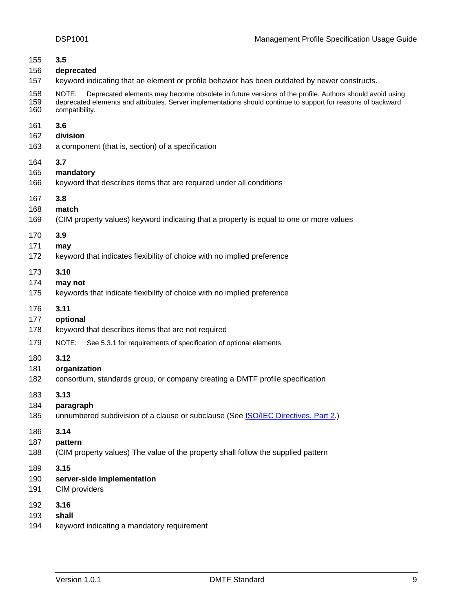| 155<br>156<br>157<br>158<br>159<br>160 | 3.5<br>deprecated<br>keyword indicating that an element or profile behavior has been outdated by newer constructs.<br>NOTE:<br>Deprecated elements may become obsolete in future versions of the profile. Authors should avoid using<br>deprecated elements and attributes. Server implementations should continue to support for reasons of backward<br>compatibility. |
|----------------------------------------|-------------------------------------------------------------------------------------------------------------------------------------------------------------------------------------------------------------------------------------------------------------------------------------------------------------------------------------------------------------------------|
| 161<br>162<br>163                      | 3.6<br>division<br>a component (that is, section) of a specification                                                                                                                                                                                                                                                                                                    |
| 164<br>165<br>166                      | 3.7<br>mandatory<br>keyword that describes items that are required under all conditions                                                                                                                                                                                                                                                                                 |
| 167<br>168<br>169                      | 3.8<br>match<br>(CIM property values) keyword indicating that a property is equal to one or more values                                                                                                                                                                                                                                                                 |
| 170<br>171<br>172                      | 3.9<br>may<br>keyword that indicates flexibility of choice with no implied preference                                                                                                                                                                                                                                                                                   |
| 173<br>174<br>175                      | 3.10<br>may not<br>keywords that indicate flexibility of choice with no implied preference                                                                                                                                                                                                                                                                              |
| 176<br>177<br>178                      | 3.11<br>optional<br>keyword that describes items that are not required                                                                                                                                                                                                                                                                                                  |
| 179<br>180<br>181<br>182               | NOTE:<br>See 5.3.1 for requirements of specification of optional elements<br>3.12<br>organization<br>consortium, standards group, or company creating a DMTF profile specification                                                                                                                                                                                      |
| 183<br>184<br>185                      | 3.13<br>paragraph<br>unnumbered subdivision of a clause or subclause (See ISO/IEC Directives, Part 2.)                                                                                                                                                                                                                                                                  |
| 186<br>187<br>188                      | 3.14<br>pattern<br>(CIM property values) The value of the property shall follow the supplied pattern                                                                                                                                                                                                                                                                    |
| 189<br>190<br>191                      | 3.15<br>server-side implementation<br>CIM providers                                                                                                                                                                                                                                                                                                                     |
| 192<br>193<br>194                      | 3.16<br>shall<br>keyword indicating a mandatory requirement                                                                                                                                                                                                                                                                                                             |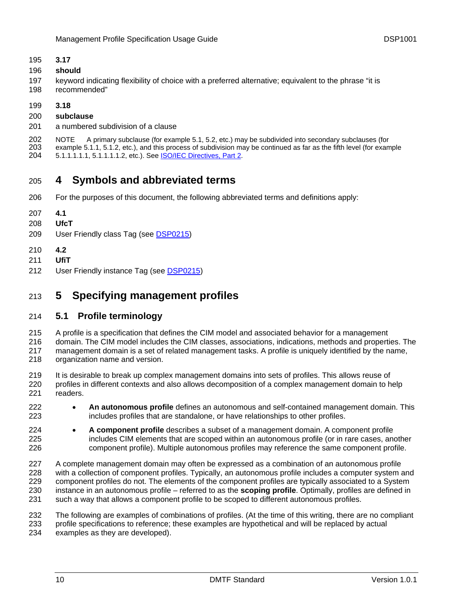- 195 **3.17**
- 196 **should**
- 197 keyword indicating flexibility of choice with a preferred alternative; equivalent to the phrase "it is 198 recommended"
- 199 **3.18**
- 200 **subclause**
- 201 a numbered subdivision of a clause
- 202 NOTE A primary subclause (for example 5.1, 5.2, etc.) may be subdivided into secondary subclauses (for 203 example 5.1.1, 5.1.2, etc.), and this process of subdivision may be continued as far as the fifth level (for example 204 5.1.1.1.1.1, 5.1.1.1.1.2, etc.). See **ISO/IEC Directives**, Part 2.

# <span id="page-9-0"></span>205 **4 Symbols and abbreviated terms**

- 206 For the purposes of this document, the following abbreviated terms and definitions apply:
- 207 **4.1**
- 208 **UfcT**
- 209 User Friendly class Tag (see [DSP0215\)](#page-7-3)
- 210 **4.2**
- 211 **UfiT**
- 212 User Friendly instance Tag (see [DSP0215](#page-7-3))

# <span id="page-9-1"></span>213 **5 Specifying management profiles**

#### <span id="page-9-2"></span>214 **5.1 Profile terminology**

215 A profile is a specification that defines the CIM model and associated behavior for a management 216 domain. The CIM model includes the CIM classes, associations, indications, methods and properties. The 217 management domain is a set of related management tasks. A profile is uniquely identified by the name, 218 organization name and version.

- 219 It is desirable to break up complex management domains into sets of profiles. This allows reuse of 220 profiles in different contexts and also allows decomposition of a complex management domain to help 221 readers.
- 222 **An autonomous profile** defines an autonomous and self-contained management domain. This 223 includes profiles that are standalone, or have relationships to other profiles.
- 224 **A component profile** describes a subset of a management domain. A component profile 225 includes CIM elements that are scoped within an autonomous profile (or in rare cases, another 226 component profile). Multiple autonomous profiles may reference the same component profile.
- 227 A complete management domain may often be expressed as a combination of an autonomous profile 228 with a collection of component profiles. Typically, an autonomous profile includes a computer system and 229 component profiles do not. The elements of the component profiles are typically associated to a System 230 instance in an autonomous profile – referred to as the **scoping profile**. Optimally, profiles are defined in 231 such a way that allows a component profile to be scoped to different autonomous profiles.
- 232 The following are examples of combinations of profiles. (At the time of this writing, there are no compliant
- 233 profile specifications to reference; these examples are hypothetical and will be replaced by actual
- 234 examples as they are developed).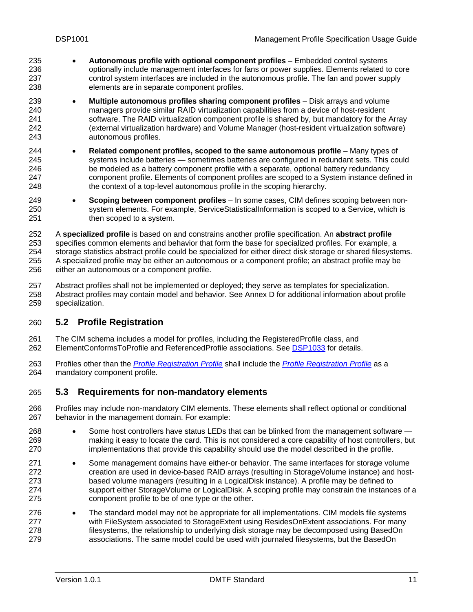- 235 **Autonomous profile with optional component profiles** Embedded control systems 236 optionally include management interfaces for fans or power supplies. Elements related to core 237 control system interfaces are included in the autonomous profile. The fan and power supply 238 elements are in separate component profiles.
- 239 **Multiple autonomous profiles sharing component profiles** Disk arrays and volume 240 managers provide similar RAID virtualization capabilities from a device of host-resident 241 software. The RAID virtualization component profile is shared by, but mandatory for the Array 242 (external virtualization hardware) and Volume Manager (host-resident virtualization software) 243 autonomous profiles.
- 244 **Related component profiles, scoped to the same autonomous profile** Many types of 245 systems include batteries — sometimes batteries are configured in redundant sets. This could 246 be modeled as a battery component profile with a separate, optional battery redundancy 247 component profile. Elements of component profiles are scoped to a System instance defined in 248 the context of a top-level autonomous profile in the scoping hierarchy.
- 249 **Scoping between component profiles** In some cases, CIM defines scoping between non-250 system elements. For example, ServiceStatisticalInformation is scoped to a Service, which is 251 then scoped to a system.
- 252 A **specialized profile** is based on and constrains another profile specification. An **abstract profile** 253 specifies common elements and behavior that form the base for specialized profiles. For example, a 254 storage statistics abstract profile could be specialized for either direct disk storage or shared filesystems. 255 A specialized profile may be either an autonomous or a component profile; an abstract profile may be 256 either an autonomous or a component profile.
- 257 Abstract profiles shall not be implemented or deployed; they serve as templates for specialization. 258 Abstract profiles may contain model and behavior. See [Annex D](#page-35-0) for additional information about profile 259 specialization.

## <span id="page-10-0"></span>260 **5.2 Profile Registration**

- 261 The CIM schema includes a model for profiles, including the RegisteredProfile class, and 262 ElementConformsToProfile and ReferencedProfile associations. See [DSP1033](#page-7-4) for details.
- 263 Profiles other than the *[Profile Registration Profile](#page-7-4)* shall include the *[Profile Registration Profile](#page-7-4)* as a 264 mandatory component profile.

#### <span id="page-10-1"></span>265 **5.3 Requirements for non-mandatory elements**

- 266 Profiles may include non-mandatory CIM elements. These elements shall reflect optional or conditional 267 behavior in the management domain. For example:
- 268 Some host controllers have status LEDs that can be blinked from the management software 269 making it easy to locate the card. This is not considered a core capability of host controllers, but 270 implementations that provide this capability should use the model described in the profile.
- 271 Some management domains have either-or behavior. The same interfaces for storage volume 272 creation are used in device-based RAID arrays (resulting in StorageVolume instance) and host-273 based volume managers (resulting in a LogicalDisk instance). A profile may be defined to 274 support either StorageVolume or LogicalDisk. A scoping profile may constrain the instances of a 275 component profile to be of one type or the other.
- 276 The standard model may not be appropriate for all implementations. CIM models file systems 277 with FileSystem associated to StorageExtent using ResidesOnExtent associations. For many 278 filesystems, the relationship to underlying disk storage may be decomposed using BasedOn 279 associations. The same model could be used with journaled filesystems, but the BasedOn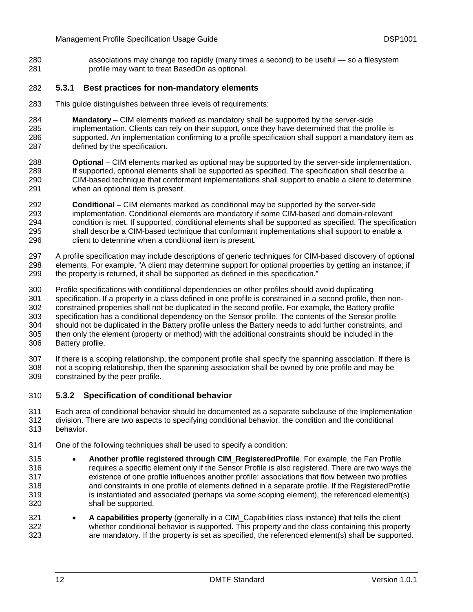<span id="page-11-1"></span>280 associations may change too rapidly (many times a second) to be useful — so a filesystem 281 profile may want to treat BasedOn as optional.

#### <span id="page-11-2"></span>282 **5.3.1 Best practices for non-mandatory elements**

- 283 This guide distinguishes between three levels of requirements:
- 284 **Mandatory** CIM elements marked as mandatory shall be supported by the server-side 285 implementation. Clients can rely on their support, once they have determined that the profile is 286 supported. An implementation confirming to a profile specification shall support a mandatory item as 287 defined by the specification.
- 288 **Optional** CIM elements marked as optional may be supported by the server-side implementation. 289 If supported, optional elements shall be supported as specified. The specification shall describe a 290 CIM-based technique that conformant implementations shall support to enable a client to determine 291 when an optional item is present.
- 292 **Conditional** CIM elements marked as conditional may be supported by the server-side 293 implementation. Conditional elements are mandatory if some CIM-based and domain-relevant 294 condition is met. If supported, conditional elements shall be supported as specified. The specification 295 shall describe a CIM-based technique that conformant implementations shall support to enable a 296 client to determine when a conditional item is present.
- 297 A profile specification may include descriptions of generic techniques for CIM-based discovery of optional 298 elements. For example, "A client may determine support for optional properties by getting an instance; if 299 the property is returned, it shall be supported as defined in this specification."
- 300 Profile specifications with conditional dependencies on other profiles should avoid duplicating 301 specification. If a property in a class defined in one profile is constrained in a second profile, then non-302 constrained properties shall not be duplicated in the second profile. For example, the Battery profile 303 specification has a conditional dependency on the Sensor profile. The contents of the Sensor profile 304 should not be duplicated in the Battery profile unless the Battery needs to add further constraints, and 305 then only the element (property or method) with the additional constraints should be included in the 306 Battery profile.
- 307 If there is a scoping relationship, the component profile shall specify the spanning association. If there is 308 not a scoping relationship, then the spanning association shall be owned by one profile and may be 309 constrained by the peer profile.

#### 310 **5.3.2 Specification of conditional behavior**

- 311 Each area of conditional behavior should be documented as a separate subclause of the Implementation 312 division. There are two aspects to specifying conditional behavior: the condition and the conditional 313 behavior.
- 314 One of the following techniques shall be used to specify a condition:
- 315 **Another profile registered through CIM\_RegisteredProfile**. For example, the Fan Profile 316 requires a specific element only if the Sensor Profile is also registered. There are two ways the 317 existence of one profile influences another profile: associations that flow between two profiles 318 and constraints in one profile of elements defined in a separate profile. If the RegisteredProfile 319 is instantiated and associated (perhaps via some scoping element), the referenced element(s) 320 shall be supported.
- <span id="page-11-0"></span>**A capabilities property** (generally in a CIM Capabilities class instance) that tells the client 322 whether conditional behavior is supported. This property and the class containing this property 323 are mandatory. If the property is set as specified, the referenced element(s) shall be supported.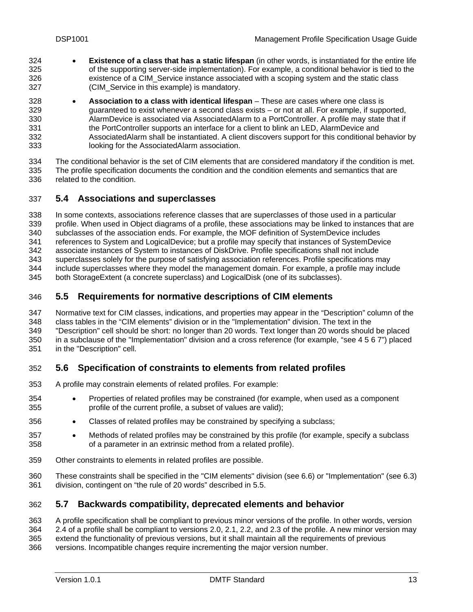- 324 **Existence of a class that has a static lifespan** (in other words, is instantiated for the entire life 325 of the supporting server-side implementation). For example, a conditional behavior is tied to the 326 existence of a CIM\_Service instance associated with a scoping system and the static class 327 (CIM\_Service in this example) is mandatory.
- 328 **Association to a class with identical lifespan** These are cases where one class is 329 guaranteed to exist whenever a second class exists – or not at all. For example, if supported, 330 AlarmDevice is associated via AssociatedAlarm to a PortController. A profile may state that if 331 the PortController supports an interface for a client to blink an LED, AlarmDevice and 332 AssociatedAlarm shall be instantiated. A client discovers support for this conditional behavior by 333 looking for the AssociatedAlarm association.

334 The conditional behavior is the set of CIM elements that are considered mandatory if the condition is met. 335 The profile specification documents the condition and the condition elements and semantics that are 336 related to the condition.

## <span id="page-12-0"></span>337 **5.4 Associations and superclasses**

338 In some contexts, associations reference classes that are superclasses of those used in a particular

339 profile. When used in Object diagrams of a profile, these associations may be linked to instances that are

340 subclasses of the association ends. For example, the MOF definition of SystemDevice includes references to System and LogicalDevice; but a profile may specify that instances of SystemDevice

342 associate instances of System to instances of DiskDrive. Profile specifications shall not include

343 superclasses solely for the purpose of satisfying association references. Profile specifications may

344 include superclasses where they model the management domain. For example, a profile may include

345 both StorageExtent (a concrete superclass) and LogicalDisk (one of its subclasses).

# <span id="page-12-1"></span>346 **5.5 Requirements for normative descriptions of CIM elements**

347 Normative text for CIM classes, indications, and properties may appear in the "Description" column of the 348 class tables in the "CIM elements" division or in the "Implementation" division. The text in the 349 "Description" cell should be short: no longer than 20 words. Text longer than 20 words should be placed 350 in a subclause of the "Implementation" division and a cross reference (for example, "see 4 5 6 7") placed

351 in the "Description" cell.

# <span id="page-12-2"></span>352 **5.6 Specification of constraints to elements from related profiles**

- 353 A profile may constrain elements of related profiles. For example:
- 354 Properties of related profiles may be constrained (for example, when used as a component 355 profile of the current profile, a subset of values are valid);
- 356 Classes of related profiles may be constrained by specifying a subclass;
- 357 
Methods of related profiles may be constrained by this profile (for example, specify a subclass 358 of a parameter in an extrinsic method from a related profile).
- 359 Other constraints to elements in related profiles are possible.
- 360 These constraints shall be specified in the "CIM elements" division (see [6.6](#page-26-1)) or "Implementation" (see [6.3](#page-17-1)) 361 division, contingent on "the rule of 20 words" described in [5.5.](#page-12-1)

## <span id="page-12-3"></span>362 **5.7 Backwards compatibility, deprecated elements and behavior**

363 A profile specification shall be compliant to previous minor versions of the profile. In other words, version

364 2.4 of a profile shall be compliant to versions 2.0, 2.1, 2.2, and 2.3 of the profile. A new minor version may

365 extend the functionality of previous versions, but it shall maintain all the requirements of previous

366 versions. Incompatible changes require incrementing the major version number.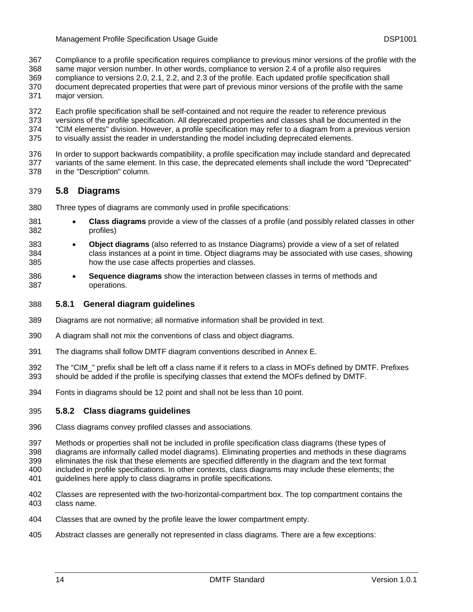- 367 Compliance to a profile specification requires compliance to previous minor versions of the profile with the
- 368 same major version number. In other words, compliance to version 2.4 of a profile also requires 369 compliance to versions 2.0, 2.1, 2.2, and 2.3 of the profile. Each updated profile specification shall
- 370 document deprecated properties that were part of previous minor versions of the profile with the same
- 371 major version.
- 372 Each profile specification shall be self-contained and not require the reader to reference previous
- 373 versions of the profile specification. All deprecated properties and classes shall be documented in the
- 374 "CIM elements" division. However, a profile specification may refer to a diagram from a previous version 375 to visually assist the reader in understanding the model including deprecated elements.
- 
- 376 In order to support backwards compatibility, a profile specification may include standard and deprecated 377 variants of the same element. In this case, the deprecated elements shall include the word "Deprecated"
- 378 in the "Description" column.

#### <span id="page-13-0"></span>379 **5.8 Diagrams**

- 380 Three types of diagrams are commonly used in profile specifications:
- 381 **Class diagrams** provide a view of the classes of a profile (and possibly related classes in other 382 profiles)
- 383 **Object diagrams** (also referred to as Instance Diagrams) provide a view of a set of related 384 class instances at a point in time. Object diagrams may be associated with use cases, showing 385 how the use case affects properties and classes.
- 386 **Sequence diagrams** show the interaction between classes in terms of methods and 387 operations.

#### 388 **5.8.1 General diagram guidelines**

- 389 Diagrams are not normative; all normative information shall be provided in text.
- 390 A diagram shall not mix the conventions of class and object diagrams.
- 391 The diagrams shall follow DMTF diagram conventions described in [Annex E.](#page-36-0)
- 392 The "CIM\_" prefix shall be left off a class name if it refers to a class in MOFs defined by DMTF. Prefixes 393 should be added if the profile is specifying classes that extend the MOFs defined by DMTF.
- 394 Fonts in diagrams should be 12 point and shall not be less than 10 point.

#### <span id="page-13-1"></span>395 **5.8.2 Class diagrams guidelines**

- 396 Class diagrams convey profiled classes and associations.
- 397 Methods or properties shall not be included in profile specification class diagrams (these types of
- 398 diagrams are informally called model diagrams). Eliminating properties and methods in these diagrams
- 399 eliminates the risk that these elements are specified differently in the diagram and the text format
- 400 included in profile specifications. In other contexts, class diagrams may include these elements; the 401 guidelines here apply to class diagrams in profile specifications.
- 402 Classes are represented with the two-horizontal-compartment box. The top compartment contains the 403 class name.
- 404 Classes that are owned by the profile leave the lower compartment empty.
- 405 Abstract classes are generally not represented in class diagrams. There are a few exceptions: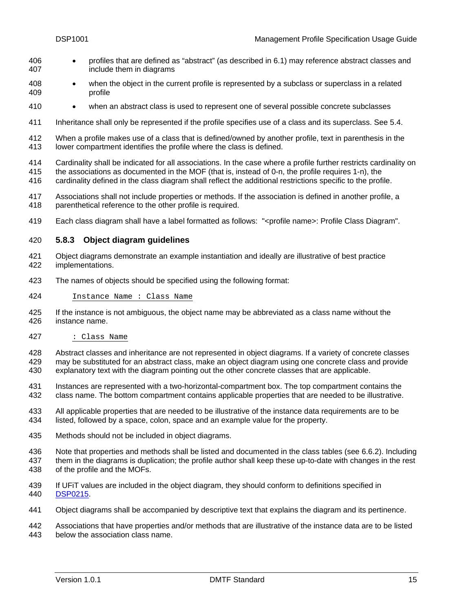- 406 profiles that are defined as "abstract" (as described in [6.1](#page-15-1)) may reference abstract classes and 407 include them in diagrams
- 408 when the object in the current profile is represented by a subclass or superclass in a related 409 profile
- 410 when an abstract class is used to represent one of several possible concrete subclasses
- 411 Inheritance shall only be represented if the profile specifies use of a class and its superclass. See [5.4.](#page-12-0)
- 412 When a profile makes use of a class that is defined/owned by another profile, text in parenthesis in the 413 lower compartment identifies the profile where the class is defined.
- 414 Cardinality shall be indicated for all associations. In the case where a profile further restricts cardinality on
- 415 the associations as documented in the MOF (that is, instead of 0-n, the profile requires 1-n), the
- 416 cardinality defined in the class diagram shall reflect the additional restrictions specific to the profile.
- 417 Associations shall not include properties or methods. If the association is defined in another profile, a 418 parenthetical reference to the other profile is required.
- 419 Each class diagram shall have a label formatted as follows: "<profile name>: Profile Class Diagram".

#### 420 **5.8.3 Object diagram guidelines**

- 421 Object diagrams demonstrate an example instantiation and ideally are illustrative of best practice 422 implementations.
- 423 The names of objects should be specified using the following format:
- 424 Instance Name : Class Name
- 425 If the instance is not ambiguous, the object name may be abbreviated as a class name without the 426 instance name.
- 427 : Class Name
- 428 Abstract classes and inheritance are not represented in object diagrams. If a variety of concrete classes 429 may be substituted for an abstract class, make an object diagram using one concrete class and provide
- 430 explanatory text with the diagram pointing out the other concrete classes that are applicable.
- 431 Instances are represented with a two-horizontal-compartment box. The top compartment contains the 432 class name. The bottom compartment contains applicable properties that are needed to be illustrative.
- 433 All applicable properties that are needed to be illustrative of the instance data requirements are to be 434 listed, followed by a space, colon, space and an example value for the property.
- 435 Methods should not be included in object diagrams.
- 436 Note that properties and methods shall be listed and documented in the class tables (see [6.6.2\)](#page-27-1). Including 437 them in the diagrams is duplication; the profile author shall keep these up-to-date with changes in the rest 438 of the profile and the MOFs.
- 439 If UFiT values are included in the object diagram, they should conform to definitions specified in 440 [DSP0215.](#page-7-3)
- 441 Object diagrams shall be accompanied by descriptive text that explains the diagram and its pertinence.

442 Associations that have properties and/or methods that are illustrative of the instance data are to be listed 443 below the association class name.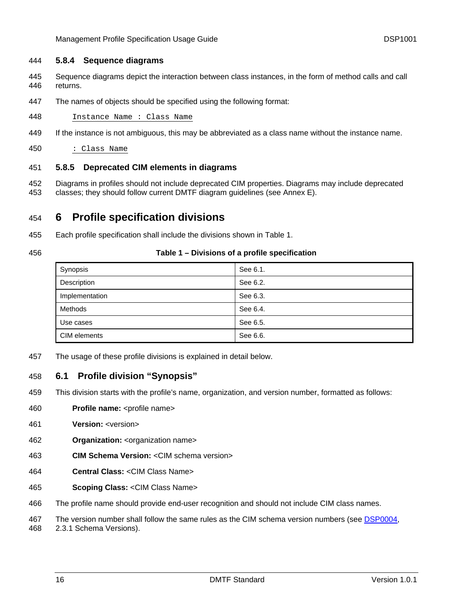#### 444 **5.8.4 Sequence diagrams**

- 445 Sequence diagrams depict the interaction between class instances, in the form of method calls and call 446 returns.
- 447 The names of objects should be specified using the following format:
- 448 Instance Name : Class Name
- 449 If the instance is not ambiguous, this may be abbreviated as a class name without the instance name.
- 450 : Class Name

#### 451 **5.8.5 Deprecated CIM elements in diagrams**

452 Diagrams in profiles should not include deprecated CIM properties. Diagrams may include deprecated 453 classes; they should follow current DMTF diagram guidelines (see [Annex E](#page-36-0)).

# <span id="page-15-0"></span>454 **6 Profile specification divisions**

455 Each profile specification shall include the divisions shown in [Table 1.](#page-15-2)

<span id="page-15-2"></span>

#### 456 **Table 1 – Divisions of a profile specification**

| Synopsis       | See 6.1. |
|----------------|----------|
| Description    | See 6.2. |
| Implementation | See 6.3. |
| Methods        | See 6.4. |
| Use cases      | See 6.5. |
| CIM elements   | See 6.6. |

457 The usage of these profile divisions is explained in detail below.

#### <span id="page-15-1"></span>458 **6.1 Profile division "Synopsis"**

- 459 This division starts with the profile's name, organization, and version number, formatted as follows:
- 460 **Profile name:** <profile name>
- 461 **Version:** <version>
- 462 **Organization:** <organization name>
- 463 **CIM Schema Version:** <CIM schema version>
- 464 **Central Class:** <CIM Class Name>
- 465 **Scoping Class:** <CIM Class Name>
- 466 The profile name should provide end-user recognition and should not include CIM class names.

467 The version number shall follow the same rules as the CIM schema version numbers (see [DSP0004,](#page-7-5)

468 2.3.1 Schema Versions).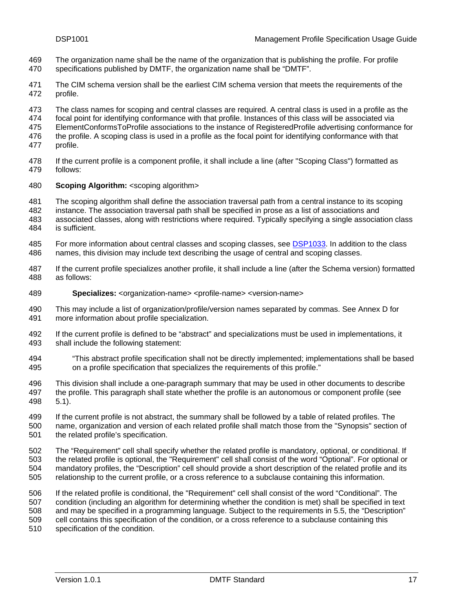- 469 The organization name shall be the name of the organization that is publishing the profile. For profile
- 470 specifications published by DMTF, the organization name shall be "DMTF".
- 471 The CIM schema version shall be the earliest CIM schema version that meets the requirements of the 472 profile.
- 473 The class names for scoping and central classes are required. A central class is used in a profile as the
- 474 focal point for identifying conformance with that profile. Instances of this class will be associated via
- 475 ElementConformsToProfile associations to the instance of RegisteredProfile advertising conformance for
- 476 the profile. A scoping class is used in a profile as the focal point for identifying conformance with that
- 477 profile.
- 478 If the current profile is a component profile, it shall include a line (after "Scoping Class") formatted as 479 follows:
- 480 **Scoping Algorithm:** <scoping algorithm>
- 481 The scoping algorithm shall define the association traversal path from a central instance to its scoping
- 482 instance. The association traversal path shall be specified in prose as a list of associations and
- 483 associated classes, along with restrictions where required. Typically specifying a single association class 484 is sufficient.
- 485 For more information about central classes and scoping classes, see [DSP1033.](#page-7-4) In addition to the class 486 names, this division may include text describing the usage of central and scoping classes.
- 487 If the current profile specializes another profile, it shall include a line (after the Schema version) formatted 488 as follows:
- 489 **Specializes:** <organization-name> <profile-name> <version-name>
- 490 This may include a list of organization/profile/version names separated by commas. See [Annex D](#page-35-0) for 491 more information about profile specialization.
- 492 If the current profile is defined to be "abstract" and specializations must be used in implementations, it 493 shall include the following statement:
- 494 "This abstract profile specification shall not be directly implemented; implementations shall be based 495 on a profile specification that specializes the requirements of this profile."
- 496 This division shall include a one-paragraph summary that may be used in other documents to describe
- 497 the profile. This paragraph shall state whether the profile is an autonomous or component profile (see 498 [5.1\)](#page-9-2).
- 499 If the current profile is not abstract, the summary shall be followed by a table of related profiles. The 500 name, organization and version of each related profile shall match those from the "Synopsis" section of 501 the related profile's specification.
- 502 The "Requirement" cell shall specify whether the related profile is mandatory, optional, or conditional. If 503 the related profile is optional, the "Requirement" cell shall consist of the word "Optional". For optional or 504 mandatory profiles, the "Description" cell should provide a short description of the related profile and its 505 relationship to the current profile, or a cross reference to a subclause containing this information.
- 506 If the related profile is conditional, the "Requirement" cell shall consist of the word "Conditional". The 507 condition (including an algorithm for determining whether the condition is met) shall be specified in text 508 and may be specified in a programming language. Subject to the requirements in [5.5](#page-12-1), the "Description" 509 cell contains this specification of the condition, or a cross reference to a subclause containing this
- 510 specification of the condition.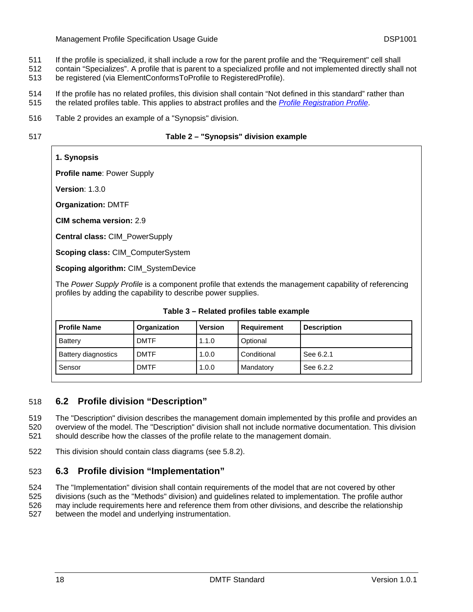- 511 If the profile is specialized, it shall include a row for the parent profile and the "Requirement" cell shall
- 512 contain "Specializes". A profile that is parent to a specialized profile and not implemented directly shall not 513 be registered (via ElementConformsToProfile to RegisteredProfile).
- 514 If the profile has no related profiles, this division shall contain "Not defined in this standard" rather than
- 515 the related profiles table. This applies to abstract profiles and the *[Profile Registration Profile](#page-7-4)*.
- 516 [Table 2](#page-17-2) provides an example of a "Synopsis" division.
- 

### <span id="page-17-2"></span>517 **Table 2 – "Synopsis" division example**

### **1. Synopsis**

**Profile name**: Power Supply

**Version**: 1.3.0

**Organization:** DMTF

**CIM schema version:** 2.9

**Central class:** CIM\_PowerSupply

**Scoping class:** CIM\_ComputerSystem

**Scoping algorithm:** CIM\_SystemDevice

The *Power Supply Profile* is a component profile that extends the management capability of referencing profiles by adding the capability to describe power supplies.

<span id="page-17-3"></span>

| <b>Profile Name</b>        | Organization | <b>Version</b> | Requirement | <b>Description</b> |
|----------------------------|--------------|----------------|-------------|--------------------|
| Battery                    | <b>DMTF</b>  | 1.1.0          | Optional    |                    |
| <b>Battery diagnostics</b> | <b>DMTF</b>  | 1.0.0          | Conditional | See 6.2.1          |
| Sensor                     | <b>DMTF</b>  | 1.0.0          | Mandatory   | See 6.2.2          |

**Table 3 – Related profiles table example** 

# <span id="page-17-0"></span>518 **6.2 Profile division "Description"**

519 The "Description" division describes the management domain implemented by this profile and provides an 520 overview of the model. The "Description" division shall not include normative documentation. This division 521 should describe how the classes of the profile relate to the management domain.

522 This division should contain class diagrams (see [5.8.2](#page-13-1)).

# <span id="page-17-1"></span>523 **6.3 Profile division "Implementation"**

524 The "Implementation" division shall contain requirements of the model that are not covered by other 525 divisions (such as the "Methods" division) and guidelines related to implementation. The profile author

526 may include requirements here and reference them from other divisions, and describe the relationship 527 between the model and underlying instrumentation.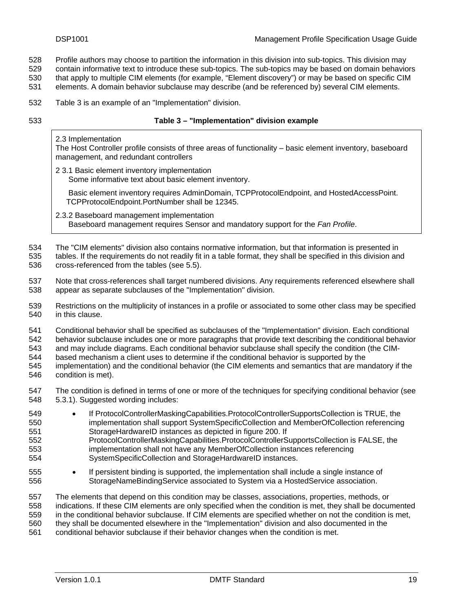- 528 Profile authors may choose to partition the information in this division into sub-topics. This division may
- 529 contain informative text to introduce these sub-topics. The sub-topics may be based on domain behaviors
- 530 that apply to multiple CIM elements (for example, "Element discovery") or may be based on specific CIM
- 531 elements. A domain behavior subclause may describe (and be referenced by) several CIM elements.
- 532 [Table 3](#page-18-0) is an example of an "Implementation" division.
- 

#### <span id="page-18-0"></span>533 **Table 3 – "Implementation" division example**

2.3 Implementation The Host Controller profile consists of three areas of functionality – basic element inventory, baseboard management, and redundant controllers

2 3.1 Basic element inventory implementation Some informative text about basic element inventory.

 Basic element inventory requires AdminDomain, TCPProtocolEndpoint, and HostedAccessPoint. TCPProtocolEndpoint.PortNumber shall be 12345.

2.3.2 Baseboard management implementation Baseboard management requires Sensor and mandatory support for the *Fan Profile*.

534 The "CIM elements" division also contains normative information, but that information is presented in

535 tables. If the requirements do not readily fit in a table format, they shall be specified in this division and 536 cross-referenced from the tables (see [5.5\)](#page-12-1).

537 Note that cross-references shall target numbered divisions. Any requirements referenced elsewhere shall 538 appear as separate subclauses of the "Implementation" division.

- 539 Restrictions on the multiplicity of instances in a profile or associated to some other class may be specified 540 in this clause.
- 541 Conditional behavior shall be specified as subclauses of the "Implementation" division. Each conditional

542 behavior subclause includes one or more paragraphs that provide text describing the conditional behavior

543 and may include diagrams. Each conditional behavior subclause shall specify the condition (the CIM-

544 based mechanism a client uses to determine if the conditional behavior is supported by the

- 545 implementation) and the conditional behavior (the CIM elements and semantics that are mandatory if the 546 condition is met).
- 547 The condition is defined in terms of one or more of the techniques for specifying conditional behavior (see 548 [5.3.1](#page-11-2)). Suggested wording includes:
- 549 If ProtocolControllerMaskingCapabilities.ProtocolControllerSupportsCollection is TRUE, the 550 implementation shall support SystemSpecificCollection and MemberOfCollection referencing 551 StorageHardwareID instances as depicted in figure 200. If 552 ProtocolControllerMaskingCapabilities.ProtocolControllerSupportsCollection is FALSE, the 553 implementation shall not have any MemberOfCollection instances referencing
- 554 SystemSpecificCollection and StorageHardwareID instances.
- 555 If persistent binding is supported, the implementation shall include a single instance of 556 StorageNameBindingService associated to System via a HostedService association.

557 The elements that depend on this condition may be classes, associations, properties, methods, or 558 indications. If these CIM elements are only specified when the condition is met, they shall be documented 559 in the conditional behavior subclause. If CIM elements are specified whether on not the condition is met, 560 they shall be documented elsewhere in the "Implementation" division and also documented in the 561 conditional behavior subclause if their behavior changes when the condition is met.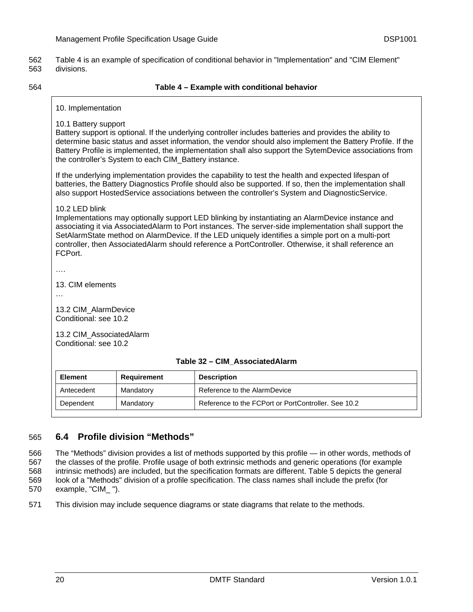- 562 [Table 4](#page-19-1) is an example of specification of conditional behavior in "Implementation" and "CIM Element" 563 divisions.
- <span id="page-19-1"></span>

#### 564 **Table 4 – Example with conditional behavior**

10. Implementation

10.1 Battery support

Battery support is optional. If the underlying controller includes batteries and provides the ability to determine basic status and asset information, the vendor should also implement the Battery Profile. If the Battery Profile is implemented, the implementation shall also support the SytemDevice associations from the controller's System to each CIM\_Battery instance.

If the underlying implementation provides the capability to test the health and expected lifespan of batteries, the Battery Diagnostics Profile should also be supported. If so, then the implementation shall also support HostedService associations between the controller's System and DiagnosticService.

#### 10.2 LED blink

Implementations may optionally support LED blinking by instantiating an AlarmDevice instance and associating it via AssociatedAlarm to Port instances. The server-side implementation shall support the SetAlarmState method on AlarmDevice. If the LED uniquely identifies a simple port on a multi-port controller, then AssociatedAlarm should reference a PortController. Otherwise, it shall reference an FCPort.

….

13. CIM elements

…

13.2 CIM\_AlarmDevice Conditional: see 10.2

13.2 CIM\_AssociatedAlarm Conditional: see 10.2

#### **Table 32 – CIM\_AssociatedAlarm**

| <b>Element</b> | Requirement | <b>Description</b>                                  |
|----------------|-------------|-----------------------------------------------------|
| Antecedent     | Mandatory   | Reference to the AlarmDevice                        |
| Dependent      | Mandatory   | Reference to the FCPort or PortController, See 10.2 |

#### <span id="page-19-0"></span>565 **6.4 Profile division "Methods"**

566 The "Methods" division provides a list of methods supported by this profile — in other words, methods of 567 the classes of the profile. Profile usage of both extrinsic methods and generic operations (for example 568 intrinsic methods) are included, but the specification formats are different. [Table 5](#page-20-0) depicts the general 569 look of a "Methods" division of a profile specification. The class names shall include the prefix (for

570 example, "CIM\_ ").

571 This division may include sequence diagrams or state diagrams that relate to the methods.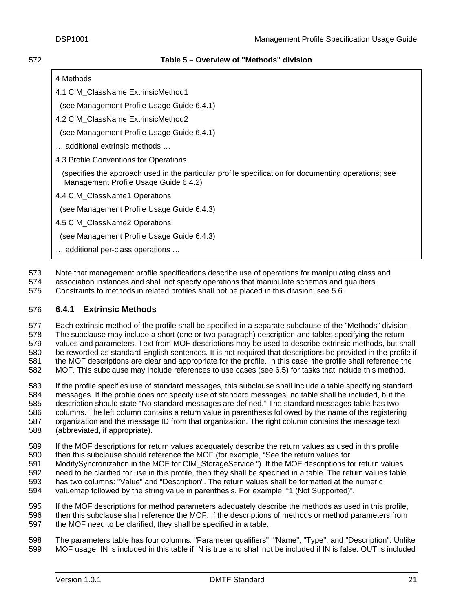### <span id="page-20-0"></span> $4.4 \times 10^{-11}$

| 4 Methods |  |
|-----------|--|
|           |  |

4.1 CIM\_ClassName ExtrinsicMethod1

(see Management Profile Usage Guide 6.4.1)

4.2 CIM\_ClassName ExtrinsicMethod2

(see Management Profile Usage Guide 6.4.1)

- … additional extrinsic methods …
- 4.3 Profile Conventions for Operations

 (specifies the approach used in the particular profile specification for documenting operations; see Management Profile Usage Guide 6.4.2)

4.4 CIM\_ClassName1 Operations

(see Management Profile Usage Guide 6.4.3)

4.5 CIM\_ClassName2 Operations

(see Management Profile Usage Guide 6.4.3)

… additional per-class operations …

573 Note that management profile specifications describe use of operations for manipulating class and

574 association instances and shall not specify operations that manipulate schemas and qualifiers.

575 Constraints to methods in related profiles shall not be placed in this division; see [5.6](#page-12-2).

#### <span id="page-20-1"></span>576 **6.4.1 Extrinsic Methods**

577 Each extrinsic method of the profile shall be specified in a separate subclause of the "Methods" division. 578 The subclause may include a short (one or two paragraph) description and tables specifying the return 579 values and parameters. Text from MOF descriptions may be used to describe extrinsic methods, but shall 580 be reworded as standard English sentences. It is not required that descriptions be provided in the profile if 581 the MOF descriptions are clear and appropriate for the profile. In this case, the profile shall reference the 582 MOF. This subclause may include references to use cases (see [6.5\)](#page-26-0) for tasks that include this method.

583 If the profile specifies use of standard messages, this subclause shall include a table specifying standard 584 messages. If the profile does not specify use of standard messages, no table shall be included, but the 585 description should state "No standard messages are defined." The standard messages table has two 586 columns. The left column contains a return value in parenthesis followed by the name of the registering 587 organization and the message ID from that organization. The right column contains the message text 588 (abbreviated, if appropriate).

589 If the MOF descriptions for return values adequately describe the return values as used in this profile,

590 then this subclause should reference the MOF (for example, "See the return values for

591 ModifySyncronization in the MOF for CIM\_StorageService."). If the MOF descriptions for return values

592 need to be clarified for use in this profile, then they shall be specified in a table. The return values table

593 has two columns: "Value" and "Description". The return values shall be formatted at the numeric 594 valuemap followed by the string value in parenthesis. For example: "1 (Not Supported)".

595 If the MOF descriptions for method parameters adequately describe the methods as used in this profile, 596 then this subclause shall reference the MOF. If the descriptions of methods or method parameters from 597 the MOF need to be clarified, they shall be specified in a table.

598 The parameters table has four columns: "Parameter qualifiers", "Name", "Type", and "Description". Unlike 599 MOF usage, IN is included in this table if IN is true and shall not be included if IN is false. OUT is included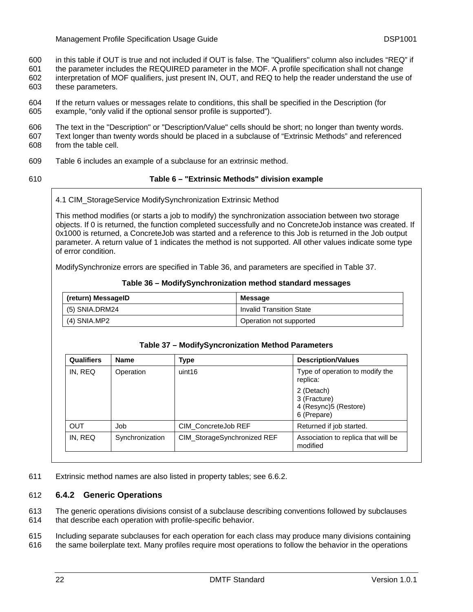- 600 in this table if OUT is true and not included if OUT is false. The "Qualifiers" column also includes "REQ" if
- 601 the parameter includes the REQUIRED parameter in the MOF. A profile specification shall not change
- 602 interpretation of MOF qualifiers, just present IN, OUT, and REQ to help the reader understand the use of 603 these parameters.
- 604 If the return values or messages relate to conditions, this shall be specified in the Description (for 605 example, "only valid if the optional sensor profile is supported").
- 606 The text in the "Description" or "Description/Value" cells should be short; no longer than twenty words.
- 607 Text longer than twenty words should be placed in a subclause of "Extrinsic Methods" and referenced 608 from the table cell.
- 609 [Table 6](#page-21-0) includes an example of a subclause for an extrinsic method.
- <span id="page-21-0"></span>

#### 610 **Table 6 – "Extrinsic Methods" division example**

#### 4.1 CIM\_StorageService ModifySynchronization Extrinsic Method

This method modifies (or starts a job to modify) the synchronization association between two storage objects. If 0 is returned, the function completed successfully and no ConcreteJob instance was created. If 0x1000 is returned, a ConcreteJob was started and a reference to this Job is returned in the Job output parameter. A return value of 1 indicates the method is not supported. All other values indicate some type of error condition.

ModifySynchronize errors are specified in Table 36, and parameters are specified in Table 37.

#### **Table 36 – ModifySynchronization method standard messages**

| (return) MessageID | Message                         |
|--------------------|---------------------------------|
| (5) SNIA.DRM24     | <b>Invalid Transition State</b> |
| $(4)$ SNIA.MP2     | Operation not supported         |

| <b>Qualifiers</b> | <b>Name</b>     | Type                        | <b>Description/Values</b>                                          |
|-------------------|-----------------|-----------------------------|--------------------------------------------------------------------|
| IN, REQ           | Operation       | uint16                      | Type of operation to modify the<br>replica:                        |
|                   |                 |                             | 2 (Detach)<br>3 (Fracture)<br>4 (Resync)5 (Restore)<br>6 (Prepare) |
| <b>OUT</b>        | Job             | CIM ConcreteJob REF         | Returned if job started.                                           |
| IN, REQ           | Synchronization | CIM_StorageSynchronized REF | Association to replica that will be<br>modified                    |

611 Extrinsic method names are also listed in property tables; see [6.6.2](#page-27-1).

#### <span id="page-21-1"></span>612 **6.4.2 Generic Operations**

613 The generic operations divisions consist of a subclause describing conventions followed by subclauses 614 that describe each operation with profile-specific behavior.

615 Including separate subclauses for each operation for each class may produce many divisions containing 616 the same boilerplate text. Many profiles require most operations to follow the behavior in the operations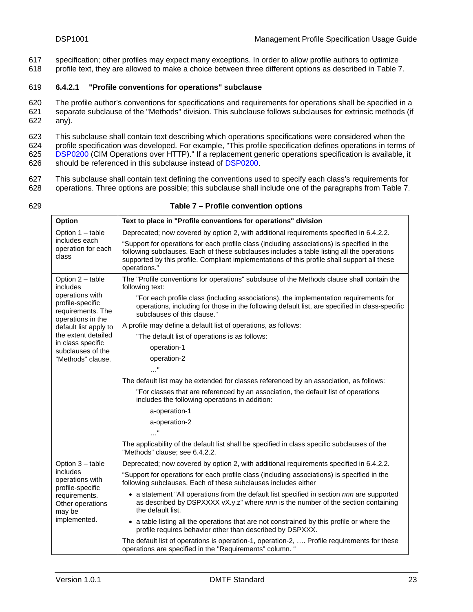- 617 specification; other profiles may expect many exceptions. In order to allow profile authors to optimize
- 618 profile text, they are allowed to make a choice between three different options as described in [Table 7](#page-22-0).

#### <span id="page-22-1"></span>619 **6.4.2.1 "Profile conventions for operations" subclause**

620 The profile author's conventions for specifications and requirements for operations shall be specified in a 621 separate subclause of the "Methods" division. This subclause follows subclauses for extrinsic methods (if 622 any).

623 This subclause shall contain text describing which operations specifications were considered when the 624 profile specification was developed. For example, "This profile specification defines operations in terms of 625 DSP0200 (CIM Operations over HTTP)." If a replacement generic operations specification is available, it [DSP0200](#page-7-6) (CIM Operations over HTTP)." If a replacement generic operations specification is available, it 626 should be referenced in this subclause instead of [DSP0200](#page-7-6).

- 627 This subclause shall contain text defining the conventions used to specify each class's requirements for 628 operations. Three options are possible; this subclause shall include one of the paragraphs from [Table 7](#page-22-0).
- <span id="page-22-0"></span>

629 **Table 7 – Profile convention options** 

<span id="page-22-2"></span>

| Option                                                                        | Text to place in "Profile conventions for operations" division                                                                                                                                                                                                                                            |
|-------------------------------------------------------------------------------|-----------------------------------------------------------------------------------------------------------------------------------------------------------------------------------------------------------------------------------------------------------------------------------------------------------|
| Option 1 - table                                                              | Deprecated; now covered by option 2, with additional requirements specified in 6.4.2.2.                                                                                                                                                                                                                   |
| includes each<br>operation for each<br>class                                  | "Support for operations for each profile class (including associations) is specified in the<br>following subclauses. Each of these subclauses includes a table listing all the operations<br>supported by this profile. Compliant implementations of this profile shall support all these<br>operations." |
| Option 2 - table<br>includes                                                  | The "Profile conventions for operations" subclause of the Methods clause shall contain the<br>following text:                                                                                                                                                                                             |
| operations with<br>profile-specific<br>requirements. The<br>operations in the | "For each profile class (including associations), the implementation requirements for<br>operations, including for those in the following default list, are specified in class-specific<br>subclauses of this clause."                                                                                    |
| default list apply to                                                         | A profile may define a default list of operations, as follows:                                                                                                                                                                                                                                            |
| the extent detailed                                                           | "The default list of operations is as follows:                                                                                                                                                                                                                                                            |
| in class specific<br>subclauses of the                                        | operation-1                                                                                                                                                                                                                                                                                               |
| "Methods" clause.                                                             | operation-2                                                                                                                                                                                                                                                                                               |
|                                                                               | $\ldots$ "                                                                                                                                                                                                                                                                                                |
|                                                                               | The default list may be extended for classes referenced by an association, as follows:                                                                                                                                                                                                                    |
|                                                                               | "For classes that are referenced by an association, the default list of operations<br>includes the following operations in addition:                                                                                                                                                                      |
|                                                                               | a-operation-1                                                                                                                                                                                                                                                                                             |
|                                                                               | a-operation-2                                                                                                                                                                                                                                                                                             |
|                                                                               | $\ldots$ "                                                                                                                                                                                                                                                                                                |
|                                                                               | The applicability of the default list shall be specified in class specific subclauses of the<br>"Methods" clause; see 6.4.2.2.                                                                                                                                                                            |
| Option 3 - table                                                              | Deprecated; now covered by option 2, with additional requirements specified in 6.4.2.2.                                                                                                                                                                                                                   |
| includes<br>operations with<br>profile-specific                               | "Support for operations for each profile class (including associations) is specified in the<br>following subclauses. Each of these subclauses includes either                                                                                                                                             |
| requirements.<br>Other operations<br>may be                                   | • a statement "All operations from the default list specified in section nnn are supported<br>as described by DSPXXXX vX.y.z" where nnn is the number of the section containing<br>the default list.                                                                                                      |
| implemented.                                                                  | • a table listing all the operations that are not constrained by this profile or where the<br>profile requires behavior other than described by DSPXXX.                                                                                                                                                   |
|                                                                               | The default list of operations is operation-1, operation-2,  Profile requirements for these<br>operations are specified in the "Requirements" column. "                                                                                                                                                   |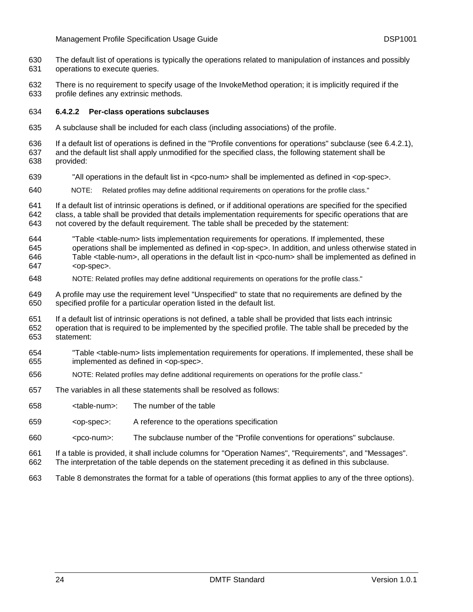- 630 The default list of operations is typically the operations related to manipulation of instances and possibly 631 operations to execute queries.
- 632 There is no requirement to specify usage of the InvokeMethod operation; it is implicitly required if the 633 profile defines any extrinsic methods.

#### <span id="page-23-0"></span>634 **6.4.2.2 Per-class operations subclauses**

- 635 A subclause shall be included for each class (including associations) of the profile.
- 636 If a default list of operations is defined in the "Profile conventions for operations" subclause (see [6.4.2.1\)](#page-22-1), 637 and the default list shall apply unmodified for the specified class, the following statement shall be 638 provided:
- 639 "All operations in the default list in <pco-num> shall be implemented as defined in <op-spec>.
- 640 NOTE: Related profiles may define additional requirements on operations for the profile class."
- 641 If a default list of intrinsic operations is defined, or if additional operations are specified for the specified 642 class, a table shall be provided that details implementation requirements for specific operations that are
- 643 not covered by the default requirement. The table shall be preceded by the statement:
- 644 "Table <table-num> lists implementation requirements for operations. If implemented, these
- 645 operations shall be implemented as defined in <op-spec>. In addition, and unless otherwise stated in
- 646 Table <table-num>, all operations in the default list in <pco-num> shall be implemented as defined in 647 <op-spec>.
- 648 NOTE: Related profiles may define additional requirements on operations for the profile class."
- 649 A profile may use the requirement level "Unspecified" to state that no requirements are defined by the 650 specified profile for a particular operation listed in the default list.
- 651 If a default list of intrinsic operations is not defined, a table shall be provided that lists each intrinsic
- 652 operation that is required to be implemented by the specified profile. The table shall be preceded by the 653 statement:
- 654 "Table <table-num> lists implementation requirements for operations. If implemented, these shall be 655 implemented as defined in <op-spec>.
- 656 NOTE: Related profiles may define additional requirements on operations for the profile class."
- 657 The variables in all these statements shall be resolved as follows:
- 658 <table-num>: The number of the table
- 659 <op-spec>: A reference to the operations specification
- 660 <pco-num>: The subclause number of the "Profile conventions for operations" subclause.
- 661 If a table is provided, it shall include columns for "Operation Names", "Requirements", and "Messages". 662 The interpretation of the table depends on the statement preceding it as defined in this subclause.
- 663 [Table 8](#page-24-0) demonstrates the format for a table of operations (this format applies to any of the three options).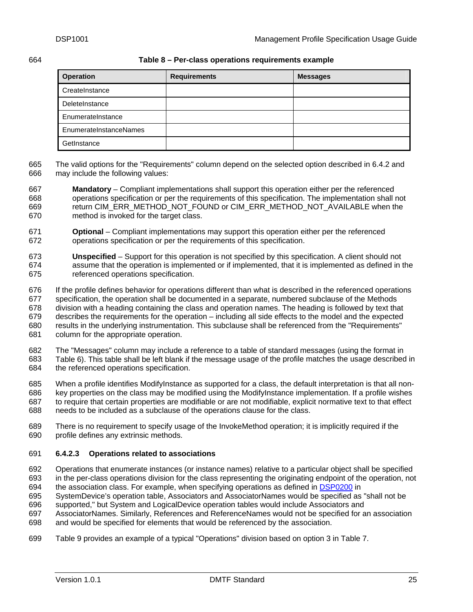<span id="page-24-0"></span>664 **Table 8 – Per-class operations requirements example** 

| <b>Operation</b>       | <b>Requirements</b> | <b>Messages</b> |
|------------------------|---------------------|-----------------|
| CreateInstance         |                     |                 |
| DeleteInstance         |                     |                 |
| EnumerateInstance      |                     |                 |
| EnumerateInstanceNames |                     |                 |
| GetInstance            |                     |                 |

665 The valid options for the "Requirements" column depend on the selected option described in [6.4.2](#page-22-2) and 666 may include the following values:

667 **Mandatory** – Compliant implementations shall support this operation either per the referenced 668 operations specification or per the requirements of this specification. The implementation shall not 669 return CIM\_ERR\_METHOD\_NOT\_FOUND or CIM\_ERR\_METHOD\_NOT\_AVAILABLE when the 670 method is invoked for the target class.

- 671 **Optional** Compliant implementations may support this operation either per the referenced 672 operations specification or per the requirements of this specification.
- 673 **Unspecified** Support for this operation is not specified by this specification. A client should not 674 assume that the operation is implemented or if implemented, that it is implemented as defined in the 675 referenced operations specification.
- 676 If the profile defines behavior for operations different than what is described in the referenced operations 677 specification, the operation shall be documented in a separate, numbered subclause of the Methods 678 division with a heading containing the class and operation names. The heading is followed by text that 679 describes the requirements for the operation – including all side effects to the model and the expected 680 results in the underlying instrumentation. This subclause shall be referenced from the "Requirements" 681 column for the appropriate operation.
- 682 The "Messages" column may include a reference to a table of standard messages (using the format in 683 [Table 6](#page-21-0)). This table shall be left blank if the message usage of the profile matches the usage described in 684 the referenced operations specification.
- 685 When a profile identifies ModifyInstance as supported for a class, the default interpretation is that all non-
- 686 key properties on the class may be modified using the ModifyInstance implementation. If a profile wishes 687 to require that certain properties are modifiable or are not modifiable, explicit normative text to that effect 688 needs to be included as a subclause of the operations clause for the class.
- 689 There is no requirement to specify usage of the InvokeMethod operation; it is implicitly required if the 690 profile defines any extrinsic methods.

## 691 **6.4.2.3 Operations related to associations**

692 Operations that enumerate instances (or instance names) relative to a particular object shall be specified 693 in the per-class operations division for the class representing the originating endpoint of the operation, not

- 694 the association class. For example, when specifying operations as defined in [DSP0200](#page-7-6) in
- 695 SystemDevice's operation table, Associators and AssociatorNames would be specified as "shall not be
- 696 supported," but System and LogicalDevice operation tables would include Associators and
- 697 AssociatorNames. Similarly, References and ReferenceNames would not be specified for an association 698 and would be specified for elements that would be referenced by the association.
- 699 [Table 9](#page-25-0) provides an example of a typical "Operations" division based on option 3 in [Table 7.](#page-22-0)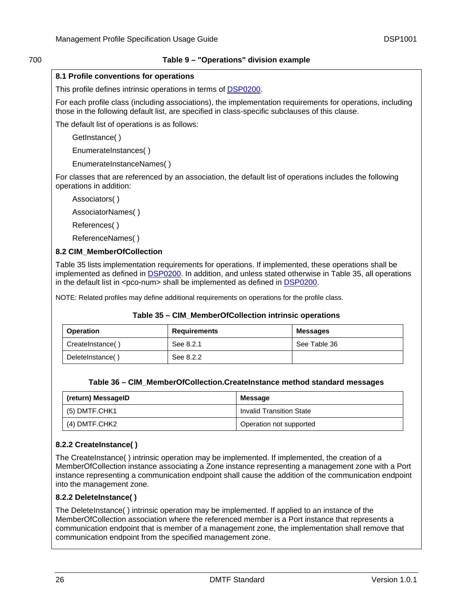#### <span id="page-25-0"></span>700 **Table 9 – "Operations" division example**

#### **8.1 Profile conventions for operations**

This profile defines intrinsic operations in terms of [DSP0200](#page-7-6).

For each profile class (including associations), the implementation requirements for operations, including those in the following default list, are specified in class-specific subclauses of this clause.

The default list of operations is as follows:

GetInstance( )

EnumerateInstances( )

EnumerateInstanceNames()

For classes that are referenced by an association, the default list of operations includes the following operations in addition:

Associators( )

AssociatorNames( )

References( )

ReferenceNames( )

#### **8.2 CIM\_MemberOfCollection**

Table 35 lists implementation requirements for operations. If implemented, these operations shall be implemented as defined in [DSP0200](#page-7-6). In addition, and unless stated otherwise in Table 35, all operations in the default list in <pco-num> shall be implemented as defined in [DSP0200.](#page-7-6)

NOTE: Related profiles may define additional requirements on operations for the profile class.

|  | Table 35 - CIM_MemberOfCollection intrinsic operations |  |  |
|--|--------------------------------------------------------|--|--|
|--|--------------------------------------------------------|--|--|

| <b>Operation</b> | <b>Requirements</b> | <b>Messages</b> |
|------------------|---------------------|-----------------|
| CreateInstance() | See 8.2.1           | See Table 36    |
| DeleteInstance(  | See 8.2.2           |                 |

#### **Table 36 – CIM\_MemberOfCollection.CreateInstance method standard messages**

| (return) MessageID | Message                         |
|--------------------|---------------------------------|
| (5) DMTF.CHK1      | <b>Invalid Transition State</b> |
| (4) DMTF.CHK2      | Operation not supported         |

#### **8.2.2 CreateInstance( )**

The CreateInstance() intrinsic operation may be implemented. If implemented, the creation of a MemberOfCollection instance associating a Zone instance representing a management zone with a Port instance representing a communication endpoint shall cause the addition of the communication endpoint into the management zone.

#### **8.2.2 DeleteInstance( )**

The DeleteInstance() intrinsic operation may be implemented. If applied to an instance of the MemberOfCollection association where the referenced member is a Port instance that represents a communication endpoint that is member of a management zone, the implementation shall remove that communication endpoint from the specified management zone.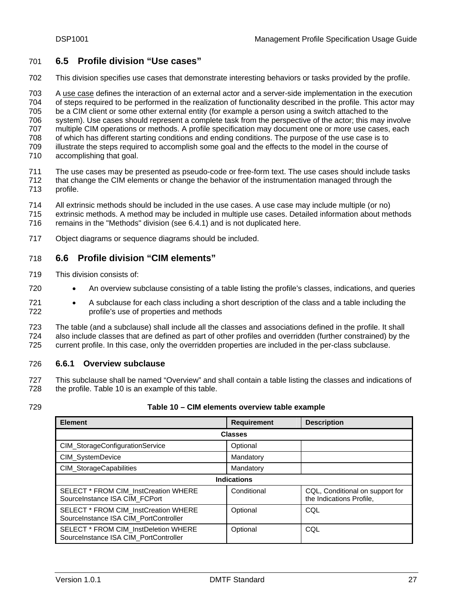### <span id="page-26-0"></span>701 **6.5 Profile division "Use cases"**

702 This division specifies use cases that demonstrate interesting behaviors or tasks provided by the profile.

703 A use case defines the interaction of an external actor and a server-side implementation in the execution 704 of steps required to be performed in the realization of functionality described in the profile. This actor may 705 be a CIM client or some other external entity (for example a person using a switch attached to the 706 system). Use cases should represent a complete task from the perspective of the actor; this may involve 707 multiple CIM operations or methods. A profile specification may document one or more use cases, each 708 of which has different starting conditions and ending conditions. The purpose of the use case is to 709 illustrate the steps required to accomplish some goal and the effects to the model in the course of 710 accomplishing that goal.

- 711 The use cases may be presented as pseudo-code or free-form text. The use cases should include tasks
- 712 that change the CIM elements or change the behavior of the instrumentation managed through the 713 profile.
- 714 All extrinsic methods should be included in the use cases. A use case may include multiple (or no)
- 715 extrinsic methods. A method may be included in multiple use cases. Detailed information about methods 716 remains in the "Methods" division (see [6.4.1](#page-20-1)) and is not duplicated here.
- 717 Object diagrams or sequence diagrams should be included.

#### <span id="page-26-1"></span>718 **6.6 Profile division "CIM elements"**

- 719 This division consists of:
- 720 An overview subclause consisting of a table listing the profile's classes, indications, and queries
- 721 A subclause for each class including a short description of the class and a table including the 722 profile's use of properties and methods

723 The table (and a subclause) shall include all the classes and associations defined in the profile. It shall 724 also include classes that are defined as part of other profiles and overridden (further constrained) by the 725 current profile. In this case, only the overridden properties are included in the per-class subclause.

#### 726 **6.6.1 Overview subclause**

727 This subclause shall be named "Overview" and shall contain a table listing the classes and indications of 728 the profile. [Table 10](#page-26-2) is an example of this table.

#### <span id="page-26-2"></span>729 **Table 10 – CIM elements overview table example**

| <b>Element</b>                                                                | <b>Requirement</b> | <b>Description</b>                                          |
|-------------------------------------------------------------------------------|--------------------|-------------------------------------------------------------|
|                                                                               | <b>Classes</b>     |                                                             |
| CIM_StorageConfigurationService                                               | Optional           |                                                             |
| <b>CIM SystemDevice</b>                                                       | Mandatory          |                                                             |
| CIM_StorageCapabilities                                                       | Mandatory          |                                                             |
| <b>Indications</b>                                                            |                    |                                                             |
| SELECT * FROM CIM_InstCreation WHERE<br>SourceInstance ISA CIM FCPort         | Conditional        | CQL, Conditional on support for<br>the Indications Profile. |
| SELECT * FROM CIM_InstCreation WHERE<br>SourceInstance ISA CIM PortController | Optional           | COL                                                         |
| SELECT * FROM CIM_InstDeletion WHERE<br>SourceInstance ISA CIM_PortController | Optional           | CQL                                                         |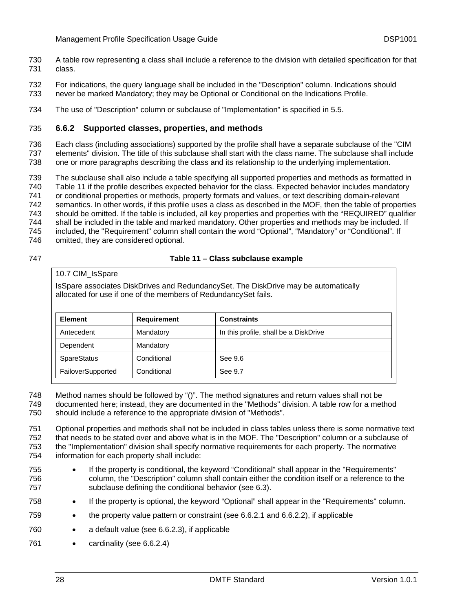- 730 A table row representing a class shall include a reference to the division with detailed specification for that 731 class.
- 732 For indications, the query language shall be included in the "Description" column. Indications should
- 733 never be marked Mandatory; they may be Optional or Conditional on the Indications Profile.
- 734 The use of "Description" column or subclause of "Implementation" is specified in [5.5](#page-12-1).

#### <span id="page-27-1"></span>735 **6.6.2 Supported classes, properties, and methods**

736 Each class (including associations) supported by the profile shall have a separate subclause of the "CIM 737 elements" division. The title of this subclause shall start with the class name. The subclause shall include 738 one or more paragraphs describing the class and its relationship to the underlying implementation.

739 The subclause shall also include a table specifying all supported properties and methods as formatted in<br>740 Table 11 if the profile describes expected behavior for the class. Expected behavior includes mandatory [Table 11](#page-27-0) if the profile describes expected behavior for the class. Expected behavior includes mandatory 741 or conditional properties or methods, property formats and values, or text describing domain-relevant 742 semantics. In other words, if this profile uses a class as described in the MOF, then the table of properties 743 should be omitted. If the table is included, all key properties and properties with the "REQUIRED" qualifier 744 shall be included in the table and marked mandatory. Other properties and methods may be included. If 745 included, the "Requirement" column shall contain the word "Optional", "Mandatory" or "Conditional". If

746 omitted, they are considered optional.

#### <span id="page-27-0"></span>747 **Table 11 – Class subclause example**

#### 10.7 CIM\_IsSpare

IsSpare associates DiskDrives and RedundancySet. The DiskDrive may be automatically allocated for use if one of the members of RedundancySet fails.

| <b>Element</b>     | Requirement | <b>Constraints</b>                    |
|--------------------|-------------|---------------------------------------|
| Antecedent         | Mandatory   | In this profile, shall be a DiskDrive |
| Dependent          | Mandatory   |                                       |
| <b>SpareStatus</b> | Conditional | See 9.6                               |
| FailoverSupported  | Conditional | See 9.7                               |

748 Method names should be followed by "()". The method signatures and return values shall not be 749 documented here; instead, they are documented in the "Methods" division. A table row for a method 750 should include a reference to the appropriate division of "Methods".

751 Optional properties and methods shall not be included in class tables unless there is some normative text 752 that needs to be stated over and above what is in the MOF. The "Description" column or a subclause of 753 the "Implementation" division shall specify normative requirements for each property. The normative 754 information for each property shall include:

- 755 If the property is conditional, the keyword "Conditional" shall appear in the "Requirements" 756 column, the "Description" column shall contain either the condition itself or a reference to the 757 subclause defining the conditional behavior (see [6.3](#page-17-1)).
- 758 **I**f the property is optional, the keyword "Optional" shall appear in the "Requirements" column.
- 759 the property value pattern or constraint (see [6.6.2.1](#page-28-0) and [6.6.2.2](#page-29-0)), if applicable
- 760 a default value (see [6.6.2.3\)](#page-29-1), if applicable
- 761 cardinality (see [6.6.2.4\)](#page-30-0)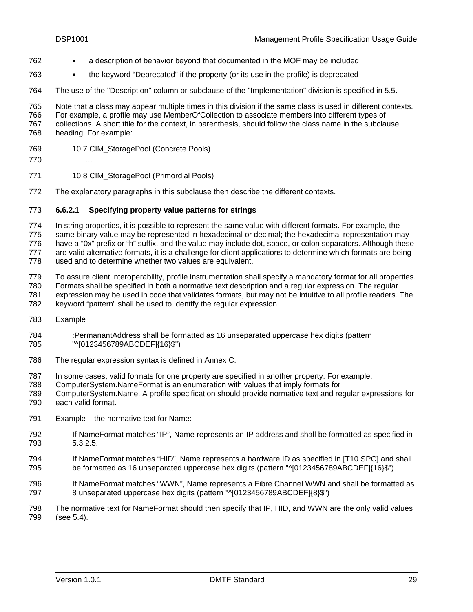- 762 **a** a description of behavior beyond that documented in the MOF may be included
- 763 the keyword "Deprecated" if the property (or its use in the profile) is deprecated
- 764 The use of the "Description" column or subclause of the "Implementation" division is specified in [5.5.](#page-12-1)
- 765 Note that a class may appear multiple times in this division if the same class is used in different contexts.
- 766 For example, a profile may use MemberOfCollection to associate members into different types of
- 767 collections. A short title for the context, in parenthesis, should follow the class name in the subclause 768 heading. For example:
- 769 10.7 CIM\_StoragePool (Concrete Pools)
- 770 …
- 771 10.8 CIM StoragePool (Primordial Pools)
- 772 The explanatory paragraphs in this subclause then describe the different contexts.

#### <span id="page-28-0"></span>773 **6.6.2.1 Specifying property value patterns for strings**

- 774 In string properties, it is possible to represent the same value with different formats. For example, the
- 775 same binary value may be represented in hexadecimal or decimal; the hexadecimal representation may
- 776 have a "0x" prefix or "h" suffix, and the value may include dot, space, or colon separators. Although these 777 are valid alternative formats, it is a challenge for client applications to determine which formats are being
- 778 used and to determine whether two values are equivalent.
- 779 To assure client interoperability, profile instrumentation shall specify a mandatory format for all properties.
- 780 Formats shall be specified in both a normative text description and a regular expression. The regular
- 781 expression may be used in code that validates formats, but may not be intuitive to all profile readers. The 782 keyword "pattern" shall be used to identify the regular expression.
- 783 Example
- 784 :PermanantAddress shall be formatted as 16 unseparated uppercase hex digits (pattern 785 "^[0123456789ABCDEF]{16}\$")
- 786 The regular expression syntax is defined in [Annex C](#page-33-0).
- 787 In some cases, valid formats for one property are specified in another property. For example,
- 788 ComputerSystem.NameFormat is an enumeration with values that imply formats for
- 789 ComputerSystem.Name. A profile specification should provide normative text and regular expressions for 790 each valid format.
- 791 Example the normative text for Name:
- 792 If NameFormat matches "IP", Name represents an IP address and shall be formatted as specified in 793 5.3.2.5.
- 794 If NameFormat matches "HID", Name represents a hardware ID as specified in [T10 SPC] and shall 795 be formatted as 16 unseparated uppercase hex digits (pattern "^[0123456789ABCDEF]{16}\$")
- 796 If NameFormat matches "WWN", Name represents a Fibre Channel WWN and shall be formatted as 797 8 unseparated uppercase hex digits (pattern "^[0123456789ABCDEF]{8}\$")
- 798 The normative text for NameFormat should then specify that IP, HID, and WWN are the only valid values 799 (see [5.4](#page-12-0)).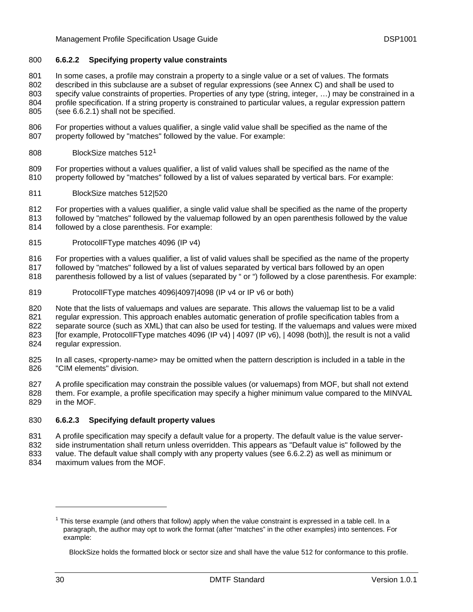#### <span id="page-29-0"></span>800 **6.6.2.2 Specifying property value constraints**

801 In some cases, a profile may constrain a property to a single value or a set of values. The formats

802 described in this subclause are a subset of regular expressions (see [Annex C](#page-33-0)) and shall be used to 803 specify value constraints of properties. Properties of any type (string, integer, …) may be constrained in a 804 profile specification. If a string property is constrained to particular values, a regular expression pattern 805 (see [6.6.2.1\)](#page-28-0) shall not be specified.

806 For properties without a values qualifier, a single valid value shall be specified as the name of the 807 property followed by "matches" followed by the value. For example:

BlockSize matches 512[1](#page-29-2) 808

809 For properties without a values qualifier, a list of valid values shall be specified as the name of the 810 property followed by "matches" followed by a list of values separated by vertical bars. For example:

811 BlockSize matches 512|520

812 For properties with a values qualifier, a single valid value shall be specified as the name of the property

- 813 followed by "matches" followed by the valuemap followed by an open parenthesis followed by the value 814 followed by a close parenthesis. For example:
- 815 ProtocolIFType matches 4096 (IP v4)

816 For properties with a values qualifier, a list of valid values shall be specified as the name of the property

817 followed by "matches" followed by a list of values separated by vertical bars followed by an open

818 parenthesis followed by a list of values (separated by " or ") followed by a close parenthesis. For example:

819 ProtocolIFType matches 4096|4097|4098 (IP v4 or IP v6 or both)

820 Note that the lists of valuemaps and values are separate. This allows the valuemap list to be a valid 821 regular expression. This approach enables automatic generation of profile specification tables from a 822 separate source (such as XML) that can also be used for testing. If the valuemaps and values were mixed

823 [for example, ProtocolIFType matches 4096 (IP v4) | 4097 (IP v6), | 4098 (both)], the result is not a valid 824 regular expression.

825 In all cases, <property-name> may be omitted when the pattern description is included in a table in the 826 "CIM elements" division.

827 A profile specification may constrain the possible values (or valuemaps) from MOF, but shall not extend 828 them. For example, a profile specification may specify a higher minimum value compared to the MINVAL 829 in the MOF.

#### <span id="page-29-1"></span>830 **6.6.2.3 Specifying default property values**

831 A profile specification may specify a default value for a property. The default value is the value server-832 side instrumentation shall return unless overridden. This appears as "Default value is" followed by the 833 value. The default value shall comply with any property values (see [6.6.2.2](#page-29-0)) as well as minimum or 834 maximum values from the MOF.

l

<span id="page-29-2"></span> $1$  This terse example (and others that follow) apply when the value constraint is expressed in a table cell. In a paragraph, the author may opt to work the format (after "matches" in the other examples) into sentences. For example:

BlockSize holds the formatted block or sector size and shall have the value 512 for conformance to this profile.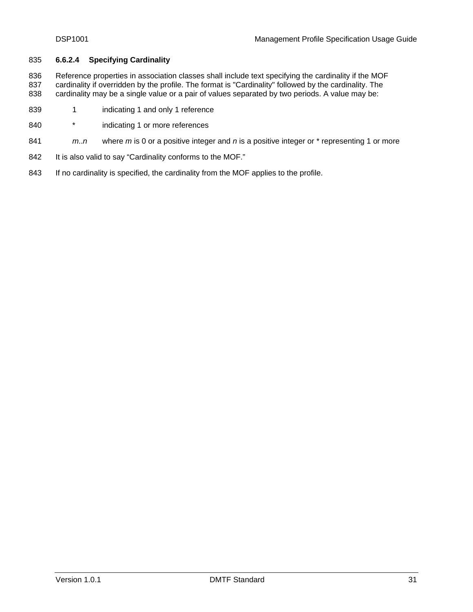#### <span id="page-30-0"></span>835 **6.6.2.4 Specifying Cardinality**

836 Reference properties in association classes shall include text specifying the cardinality if the MOF<br>837 cardinality if overridden by the profile. The format is "Cardinality" followed by the cardinality. The 837 cardinality if overridden by the profile. The format is "Cardinality" followed by the cardinality. The 838 cardinality may be a single value or a pair of values separated by two periods. A value may be: cardinality may be a single value or a pair of values separated by two periods. A value may be:

- 839 1 indicating 1 and only 1 reference
- 840 \* indicating 1 or more references
- 841 *m*..*n* where *m* is 0 or a positive integer and *n* is a positive integer or \* representing 1 or more
- 842 It is also valid to say "Cardinality conforms to the MOF."
- 843 If no cardinality is specified, the cardinality from the MOF applies to the profile.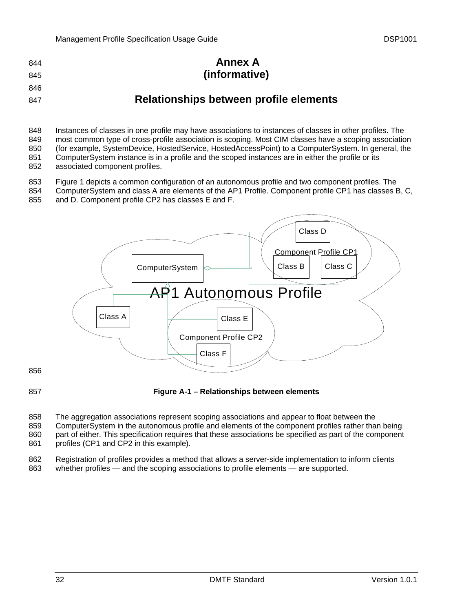<span id="page-31-0"></span>844 **Annex A**  845 **(informative)**  846

# 847 **Relationships between profile elements**

848 Instances of classes in one profile may have associations to instances of classes in other profiles. The 849 most common type of cross-profile association is scoping. Most CIM classes have a scoping association

850 (for example, SystemDevice, HostedService, HostedAccessPoint) to a ComputerSystem. In general, the 851 ComputerSystem instance is in a profile and the scoped instances are in either the profile or its

852 associated component profiles.

853 Figure 1 depicts a common configuration of an autonomous profile and two component profiles. The 854 ComputerSystem and class A are elements of the AP1 Profile. Component profile CP1 has classes E ComputerSystem and class A are elements of the AP1 Profile. Component profile CP1 has classes B, C, 855 and D. Component profile CP2 has classes E and F.



856

<span id="page-31-1"></span>

857 **Figure A-1 – Relationships between elements** 

858 The aggregation associations represent scoping associations and appear to float between the

859 ComputerSystem in the autonomous profile and elements of the component profiles rather than being 860 part of either. This specification requires that these associations be specified as part of the component

861 profiles (CP1 and CP2 in this example).

862 Registration of profiles provides a method that allows a server-side implementation to inform clients 863 whether profiles — and the scoping associations to profile elements — are supported.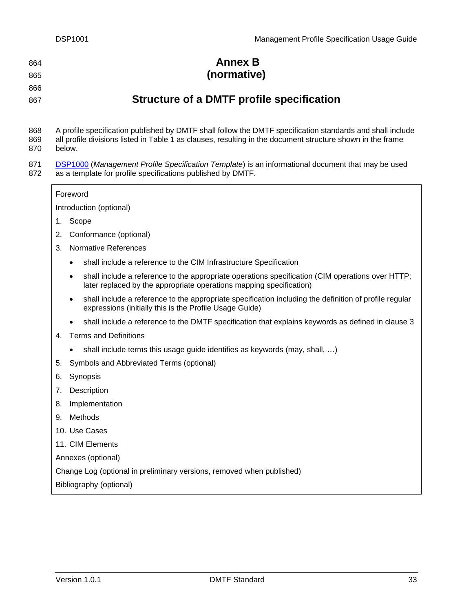866

864 **Annex B** 

<span id="page-32-0"></span>865 **(normative)** 

# 867 **Structure of a DMTF profile specification**

868 A profile specification published by DMTF shall follow the DMTF specification standards and shall include 869 all profile divisions listed in [Table 1](#page-15-2) as clauses, resulting in the document structure shown in the frame 870 below.

871 [DSP1000](#page-39-1) (*Management Profile Specification Template*) is an informational document that may be used 872 as a template for profile specifications published by DMTF.

#### Foreword

Introduction (optional)

- 1. Scope
- 2. Conformance (optional)
- 3. Normative References
	- shall include a reference to the CIM Infrastructure Specification
	- shall include a reference to the appropriate operations specification (CIM operations over HTTP; later replaced by the appropriate operations mapping specification)
	- shall include a reference to the appropriate specification including the definition of profile regular expressions (initially this is the Profile Usage Guide)
	- shall include a reference to the DMTF specification that explains keywords as defined in clause [3](#page-7-1)
- 4. Terms and Definitions
	- shall include terms this usage guide identifies as keywords (may, shall, ...)
- 5. Symbols and Abbreviated Terms (optional)
- 6. Synopsis
- 7. Description
- 8. Implementation
- 9. Methods
- 10. Use Cases
- 11. CIM Elements

Annexes (optional)

Change Log (optional in preliminary versions, removed when published)

Bibliography (optional)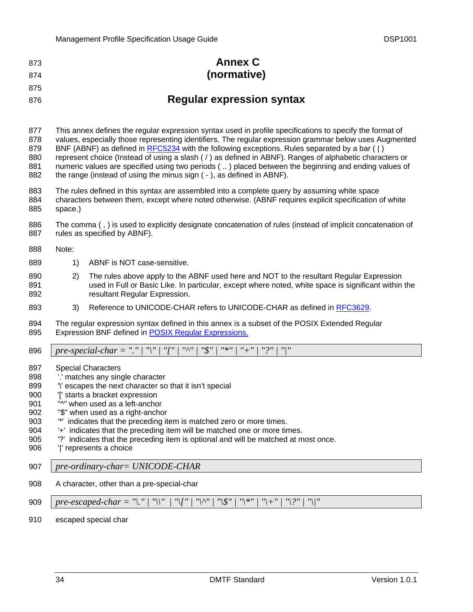<span id="page-33-0"></span>

|                                                                    |         | Management Profile Specification Usage Guide                                                                                                                                                                                                                                                                                                                                                                                                                                                                                                                                                                          | <b>DSP1001</b>                        |
|--------------------------------------------------------------------|---------|-----------------------------------------------------------------------------------------------------------------------------------------------------------------------------------------------------------------------------------------------------------------------------------------------------------------------------------------------------------------------------------------------------------------------------------------------------------------------------------------------------------------------------------------------------------------------------------------------------------------------|---------------------------------------|
| 873<br>874<br>875                                                  |         | <b>Annex C</b><br>(normative)                                                                                                                                                                                                                                                                                                                                                                                                                                                                                                                                                                                         |                                       |
| 876                                                                |         | <b>Regular expression syntax</b>                                                                                                                                                                                                                                                                                                                                                                                                                                                                                                                                                                                      |                                       |
| 877<br>878<br>879<br>880<br>881<br>882                             |         | This annex defines the regular expression syntax used in profile specifications to specify the format of<br>values, especially those representing identifiers. The regular expression grammar below uses Augmented<br>BNF (ABNF) as defined in RFC5234 with the following exceptions. Rules separated by a bar $($   $)$<br>represent choice (Instead of using a slash (/) as defined in ABNF). Ranges of alphabetic characters or<br>numeric values are specified using two periods (  ) placed between the beginning and ending values of<br>the range (instead of using the minus sign ( - ), as defined in ABNF). |                                       |
| 883<br>884<br>885                                                  | space.) | The rules defined in this syntax are assembled into a complete query by assuming white space<br>characters between them, except where noted otherwise. (ABNF requires explicit specification of white                                                                                                                                                                                                                                                                                                                                                                                                                 |                                       |
| 886<br>887                                                         |         | The comma (, ) is used to explicitly designate concatenation of rules (instead of implicit concatenation of<br>rules as specified by ABNF).                                                                                                                                                                                                                                                                                                                                                                                                                                                                           |                                       |
| 888                                                                | Note:   |                                                                                                                                                                                                                                                                                                                                                                                                                                                                                                                                                                                                                       |                                       |
| 889                                                                | 1)      | ABNF is NOT case-sensitive.                                                                                                                                                                                                                                                                                                                                                                                                                                                                                                                                                                                           |                                       |
| 890<br>891<br>892                                                  | 2)      | The rules above apply to the ABNF used here and NOT to the resultant Regular Expression<br>used in Full or Basic Like. In particular, except where noted, white space is significant within the<br>resultant Regular Expression.                                                                                                                                                                                                                                                                                                                                                                                      |                                       |
| 893                                                                | 3)      | Reference to UNICODE-CHAR refers to UNICODE-CHAR as defined in RFC3629.                                                                                                                                                                                                                                                                                                                                                                                                                                                                                                                                               |                                       |
| 894<br>895                                                         |         | The regular expression syntax defined in this annex is a subset of the POSIX Extended Regular<br>Expression BNF defined in POSIX Regular Expressions.                                                                                                                                                                                                                                                                                                                                                                                                                                                                 |                                       |
| 896                                                                |         | "S"<br>$^{\prime\prime}$ [ $^{\prime\prime}$ ]<br>$''$ $*$ $''$<br>pre-special-char = "."   "\"  <br>''                                                                                                                                                                                                                                                                                                                                                                                                                                                                                                               | $^{\prime\prime}$ / $^{\prime\prime}$ |
| 897<br>898<br>899<br>900<br>901<br>902<br>903<br>904<br>905<br>906 |         | <b>Special Characters</b><br>matches any single character<br>'\' escapes the next character so that it isn't special<br>'[' starts a bracket expression<br>"^" when used as a left-anchor<br>"\$" when used as a right-anchor<br>" indicates that the preceding item is matched zero or more times.<br>'+' indicates that the preceding item will be matched one or more times.<br>'?' indicates that the preceding item is optional and will be matched at most once.<br>' ' represents a choice                                                                                                                     |                                       |
| 907                                                                |         | pre-ordinary-char= UNICODE-CHAR                                                                                                                                                                                                                                                                                                                                                                                                                                                                                                                                                                                       |                                       |
| nnn                                                                |         |                                                                                                                                                                                                                                                                                                                                                                                                                                                                                                                                                                                                                       |                                       |

908 A character, other than a pre-special-char

910 escaped special char

 $\mathbf{r}$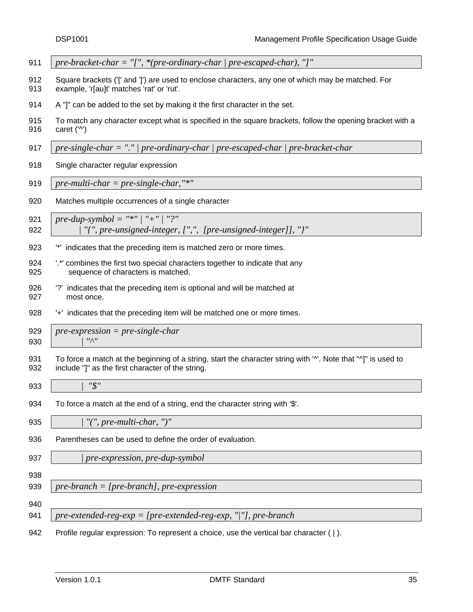| pre-bracket-char = $T^{"}$ , *(pre-ordinary-char   pre-escaped-char), $T^{"}$                                                                                      |
|--------------------------------------------------------------------------------------------------------------------------------------------------------------------|
| Square brackets ('[' and ']') are used to enclose characters, any one of which may be matched. For<br>example, 'r[au]t' matches 'rat' or 'rut'.                    |
| A "]" can be added to the set by making it the first character in the set.                                                                                         |
| To match any character except what is specified in the square brackets, follow the opening bracket with a<br>caret ('^')                                           |
| pre-single-char = "."   pre-ordinary-char   pre-escaped-char   pre-bracket-char                                                                                    |
| Single character regular expression                                                                                                                                |
| $pre$ -multi-char = pre-single-char,"*"                                                                                                                            |
| Matches multiple occurrences of a single character                                                                                                                 |
| pre-dup-symbol = "*"   "+"   "?"<br>  "{", pre-unsigned-integer, [",", [pre-unsigned-integer]], "}"                                                                |
| indicates that the preceding item is matched zero or more times.                                                                                                   |
| ".*' combines the first two special characters together to indicate that any<br>sequence of characters is matched.                                                 |
| '?' indicates that the preceding item is optional and will be matched at<br>most once.                                                                             |
| '+' indicates that the preceding item will be matched one or more times.                                                                                           |
| $pre-expression = pre-single-char$<br>$'' \wedge''$                                                                                                                |
| To force a match at the beginning of a string, start the character string with '^'. Note that "^]" is used to<br>include "]" as the first character of the string. |
| "S"                                                                                                                                                                |
| To force a match at the end of a string, end the character string with '\$'.                                                                                       |
| $\mid$ "(", pre-multi-char, ")"                                                                                                                                    |
| Parentheses can be used to define the order of evaluation.                                                                                                         |
| pre-expression, pre-dup-symbol                                                                                                                                     |
|                                                                                                                                                                    |
| $pre-branch = [pre-branch], pre-expression$                                                                                                                        |
| $pre-extended-reg-exp = [pre-extended-reg-exp, "]''], pre-branch$                                                                                                  |
| Profile regular expression: To represent a choice, use the vertical bar character ( ).                                                                             |
|                                                                                                                                                                    |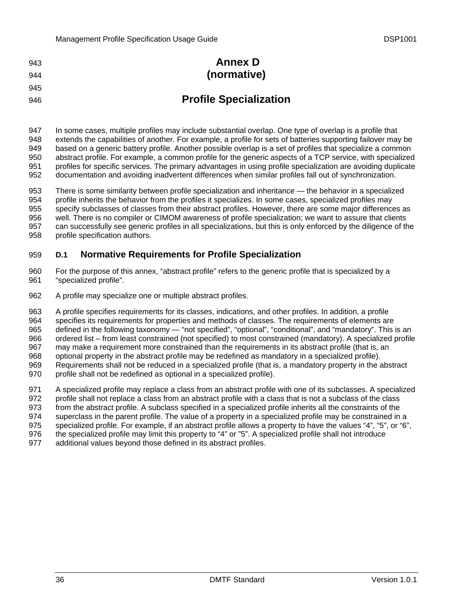<span id="page-35-0"></span>

| 943 | <b>Annex D</b>                |
|-----|-------------------------------|
| 944 | (normative)                   |
| 945 |                               |
| 946 | <b>Profile Specialization</b> |

947 In some cases, multiple profiles may include substantial overlap. One type of overlap is a profile that 948 extends the capabilities of another. For example, a profile for sets of batteries supporting failover may be 949 based on a generic battery profile. Another possible overlap is a set of profiles that specialize a common 950 abstract profile. For example, a common profile for the generic aspects of a TCP service, with specialized 951 profiles for specific services. The primary advantages in using profile specialization are avoiding duplicate 952 documentation and avoiding inadvertent differences when similar profiles fall out of synchronization.

953 There is some similarity between profile specialization and inheritance — the behavior in a specialized 954 profile inherits the behavior from the profiles it specializes. In some cases, specialized profiles may 955 specify subclasses of classes from their abstract profiles. However, there are some major differences as 956 well. There is no compiler or CIMOM awareness of profile specialization; we want to assure that clients 957 can successfully see generic profiles in all specializations, but this is only enforced by the diligence of the 958 profile specification authors.

#### 959 **D.1 Normative Requirements for Profile Specialization**

- 960 For the purpose of this annex, "abstract profile" refers to the generic profile that is specialized by a 961 "specialized profile".
- 962 A profile may specialize one or multiple abstract profiles.

963 A profile specifies requirements for its classes, indications, and other profiles. In addition, a profile 964 specifies its requirements for properties and methods of classes. The requirements of elements are 965 defined in the following taxonomy — "not specified", "optional", "conditional", and "mandatory". This is an 966 ordered list – from least constrained (not specified) to most constrained (mandatory). A specialized profile 967 may make a requirement more constrained than the requirements in its abstract profile (that is, an 968 optional property in the abstract profile may be redefined as mandatory in a specialized profile). 969 Requirements shall not be reduced in a specialized profile (that is, a mandatory property in the abstract

970 profile shall not be redefined as optional in a specialized profile).

971 A specialized profile may replace a class from an abstract profile with one of its subclasses. A specialized 972 profile shall not replace a class from an abstract profile with a class that is not a subclass of the class<br>973 from the abstract profile. A subclass specified in a specialized profile inherits all the constraints of t from the abstract profile. A subclass specified in a specialized profile inherits all the constraints of the 974 superclass in the parent profile. The value of a property in a specialized profile may be constrained in a 975 specialized profile. For example, if an abstract profile allows a property to have the values "4", "5", or "6", 976 the specialized profile may limit this property to "4" or "5". A specialized profile shall not introduce 977 additional values beyond those defined in its abstract profiles.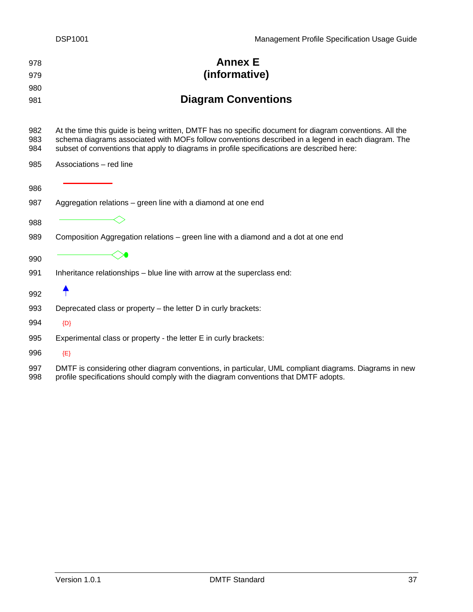<span id="page-36-0"></span>

|                   | <b>DSP1001</b><br>Management Profile Specification Usage Guide                                                                                                                                                                                                                                              |
|-------------------|-------------------------------------------------------------------------------------------------------------------------------------------------------------------------------------------------------------------------------------------------------------------------------------------------------------|
| 978               | <b>Annex E</b>                                                                                                                                                                                                                                                                                              |
| 979               | (informative)                                                                                                                                                                                                                                                                                               |
| 980               |                                                                                                                                                                                                                                                                                                             |
| 981               | <b>Diagram Conventions</b>                                                                                                                                                                                                                                                                                  |
| 982<br>983<br>984 | At the time this guide is being written, DMTF has no specific document for diagram conventions. All the<br>schema diagrams associated with MOFs follow conventions described in a legend in each diagram. The<br>subset of conventions that apply to diagrams in profile specifications are described here: |
| 985               | Associations - red line                                                                                                                                                                                                                                                                                     |
| 986               |                                                                                                                                                                                                                                                                                                             |
| 987               | Aggregation relations – green line with a diamond at one end                                                                                                                                                                                                                                                |
| 988               |                                                                                                                                                                                                                                                                                                             |
| 989               | Composition Aggregation relations – green line with a diamond and a dot at one end                                                                                                                                                                                                                          |
| 990               |                                                                                                                                                                                                                                                                                                             |
| 991               | Inheritance relationships - blue line with arrow at the superclass end:                                                                                                                                                                                                                                     |
| 992               |                                                                                                                                                                                                                                                                                                             |
| 993               | Deprecated class or property - the letter D in curly brackets:                                                                                                                                                                                                                                              |
| 994               | $\{D\}$                                                                                                                                                                                                                                                                                                     |
| 995               | Experimental class or property - the letter E in curly brackets:                                                                                                                                                                                                                                            |
| 996               | $\{E\}$                                                                                                                                                                                                                                                                                                     |
| 997<br>998        | DMTF is considering other diagram conventions, in particular, UML compliant diagrams. Diagrams in new<br>profile specifications should comply with the diagram conventions that DMTF adopts.                                                                                                                |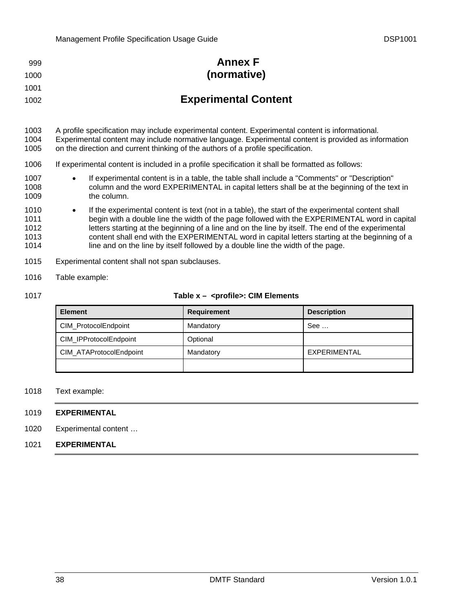<span id="page-37-0"></span>

| 999                  | <b>Annex F</b>                                                                                                                                                                                                                                                                               |  |
|----------------------|----------------------------------------------------------------------------------------------------------------------------------------------------------------------------------------------------------------------------------------------------------------------------------------------|--|
| 1000                 | (normative)                                                                                                                                                                                                                                                                                  |  |
| 1001                 |                                                                                                                                                                                                                                                                                              |  |
| 1002                 | <b>Experimental Content</b>                                                                                                                                                                                                                                                                  |  |
|                      |                                                                                                                                                                                                                                                                                              |  |
| 1003<br>1004<br>1005 | A profile specification may include experimental content. Experimental content is informational.<br>Experimental content may include normative language. Experimental content is provided as information<br>on the direction and current thinking of the authors of a profile specification. |  |
| 1006                 | If experimental content is included in a profile specification it shall be formatted as follows:                                                                                                                                                                                             |  |
| 1007<br>1008         | If experimental content is in a table, the table shall include a "Comments" or "Description"<br>$\bullet$<br>column and the word EXPERIMENTAL in capital letters shall be at the beginning of the text in                                                                                    |  |

- 1010 If the experimental content is text (not in a table), the start of the experimental content shall 1011 begin with a double line the width of the page followed with the EXPERIMENTAL word in capital 1012 letters starting at the beginning of a line and on the line by itself. The end of the experimental 1013 content shall end with the EXPERIMENTAL word in capital letters starting at the beginning of a 1014 line and on the line by itself followed by a double line the width of the page.
- 1015 Experimental content shall not span subclauses.
- 1016 Table example:

1009 the column.

#### 1017 **Table x – <profile>: CIM Elements**

| <b>Element</b>          | Requirement | <b>Description</b> |
|-------------------------|-------------|--------------------|
| CIM_ProtocolEndpoint    | Mandatory   | See                |
| CIM IPProtocolEndpoint  | Optional    |                    |
| CIM_ATAProtocolEndpoint | Mandatory   | EXPERIMENTAL       |
|                         |             |                    |

#### 1018 Text example:

#### 1019 **EXPERIMENTAL**

1020 Experimental content …

#### 1021 **EXPERIMENTAL**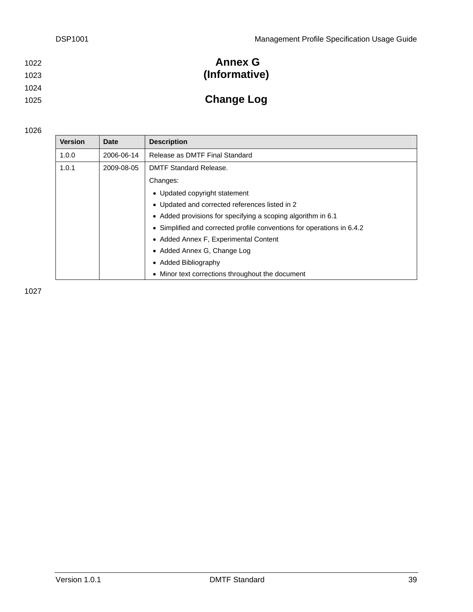<span id="page-38-0"></span>1022 **Annex G**  1023 **(Informative)**  1024 1025 **Change Log** 

1026

| <b>Version</b> | <b>Date</b> | <b>Description</b>                                                     |
|----------------|-------------|------------------------------------------------------------------------|
| 1.0.0          | 2006-06-14  | Release as DMTF Final Standard                                         |
| 1.0.1          | 2009-08-05  | <b>DMTF Standard Release.</b>                                          |
|                |             | Changes:                                                               |
|                |             | • Updated copyright statement                                          |
|                |             | • Updated and corrected references listed in 2                         |
|                |             | • Added provisions for specifying a scoping algorithm in 6.1           |
|                |             | • Simplified and corrected profile conventions for operations in 6.4.2 |
|                |             | • Added Annex F, Experimental Content                                  |
|                |             | • Added Annex G, Change Log                                            |
|                |             | • Added Bibliography                                                   |
|                |             | • Minor text corrections throughout the document                       |

1027